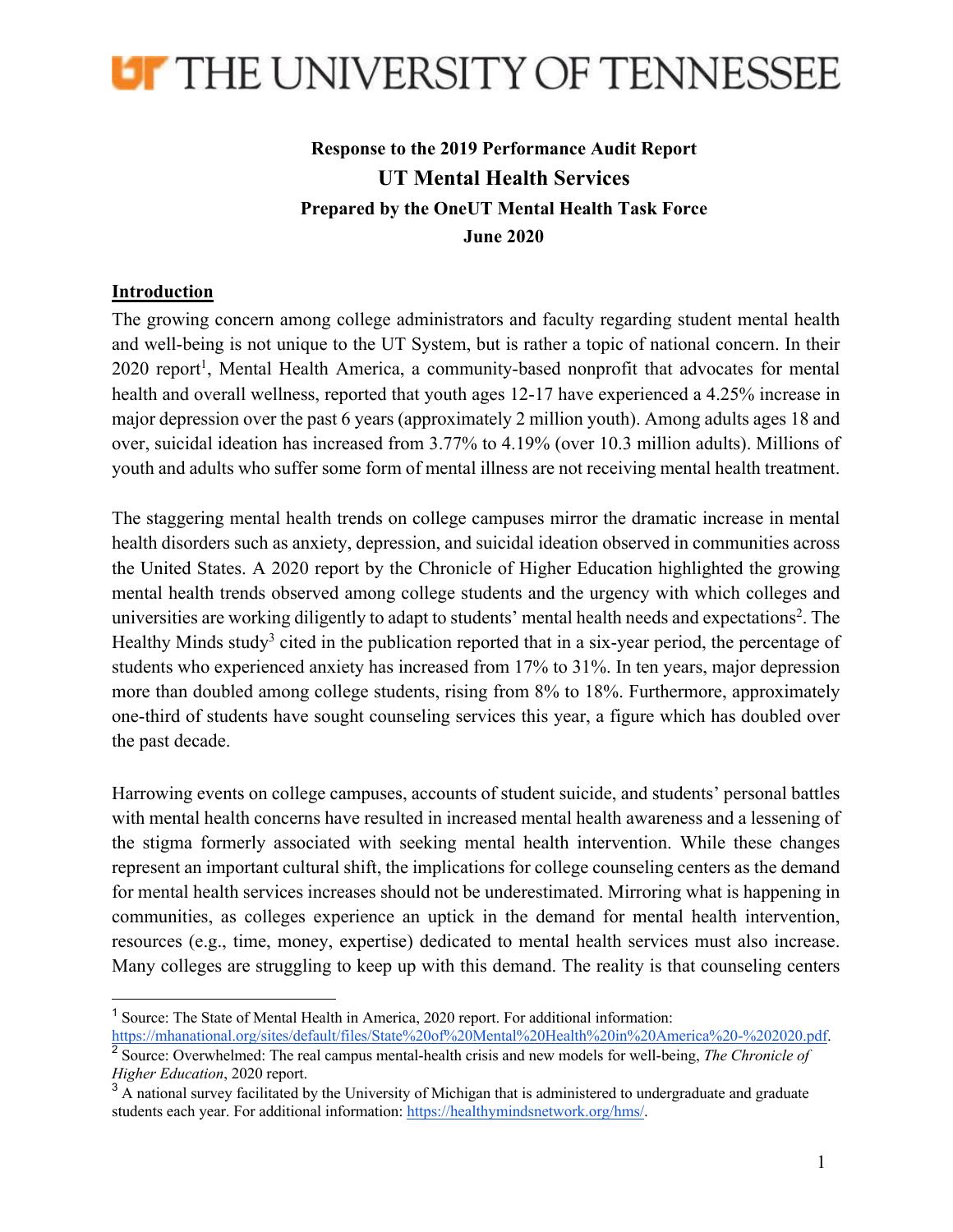

## **Response to the 2019 Performance Audit Report UT Mental Health Services Prepared by the OneUT Mental Health Task Force June 2020**

## **Introduction**

The growing concern among college administrators and faculty regarding student mental health and well-being is not unique to the UT System, but is rather a topic of national concern. In their 2020 report<sup>1</sup>, Mental Health America, a community-based nonprofit that advocates for mental health and overall wellness, reported that youth ages 12-17 have experienced a 4.25% increase in major depression over the past 6 years (approximately 2 million youth). Among adults ages 18 and over, suicidal ideation has increased from 3.77% to 4.19% (over 10.3 million adults). Millions of youth and adults who suffer some form of mental illness are not receiving mental health treatment.

The staggering mental health trends on college campuses mirror the dramatic increase in mental health disorders such as anxiety, depression, and suicidal ideation observed in communities across the United States. A 2020 report by the Chronicle of Higher Education highlighted the growing mental health trends observed among college students and the urgency with which colleges and universities are working diligently to adapt to students' mental health needs and expectations<sup>2</sup>. The Healthy Minds study<sup>3</sup> cited in the publication reported that in a six-year period, the percentage of students who experienced anxiety has increased from 17% to 31%. In ten years, major depression more than doubled among college students, rising from 8% to 18%. Furthermore, approximately one-third of students have sought counseling services this year, a figure which has doubled over the past decade.

Harrowing events on college campuses, accounts of student suicide, and students' personal battles with mental health concerns have resulted in increased mental health awareness and a lessening of the stigma formerly associated with seeking mental health intervention. While these changes represent an important cultural shift, the implications for college counseling centers as the demand for mental health services increases should not be underestimated. Mirroring what is happening in communities, as colleges experience an uptick in the demand for mental health intervention, resources (e.g., time, money, expertise) dedicated to mental health services must also increase. Many colleges are struggling to keep up with this demand. The reality is that counseling centers

<sup>&</sup>lt;sup>1</sup> Source: The State of Mental Health in America, 2020 report. For additional information:

https://mhanational.org/sites/default/files/State%20of%20Mental%20Health%20in%20America%20-%202020.pdf. <sup>2</sup> Source: Overwhelmed: The real campus mental-health crisis and new models for well-being, *The Chronicle of* 

*Higher Education*, 2020 report. <sup>3</sup> A national survey facilitated by the University of Michigan that is administered to undergraduate and graduate students each year. For additional information: https://healthymindsnetwork.org/hms/.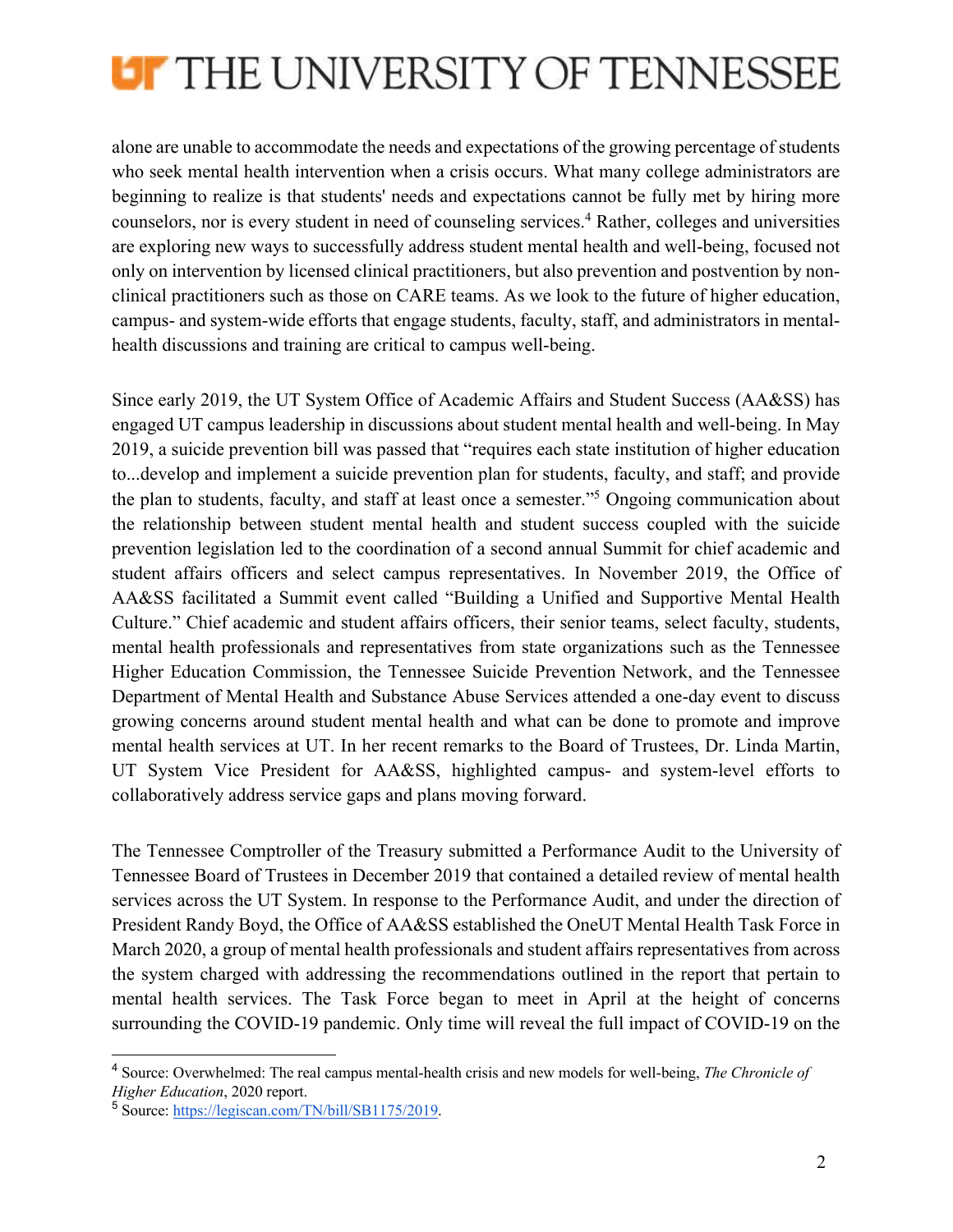

alone are unable to accommodate the needs and expectations of the growing percentage of students who seek mental health intervention when a crisis occurs. What many college administrators are beginning to realize is that students' needs and expectations cannot be fully met by hiring more counselors, nor is every student in need of counseling services.<sup>4</sup> Rather, colleges and universities are exploring new ways to successfully address student mental health and well-being, focused not only on intervention by licensed clinical practitioners, but also prevention and postvention by nonclinical practitioners such as those on CARE teams. As we look to the future of higher education, campus- and system-wide efforts that engage students, faculty, staff, and administrators in mentalhealth discussions and training are critical to campus well-being.

Since early 2019, the UT System Office of Academic Affairs and Student Success (AA&SS) has engaged UT campus leadership in discussions about student mental health and well-being. In May 2019, a suicide prevention bill was passed that "requires each state institution of higher education to...develop and implement a suicide prevention plan for students, faculty, and staff; and provide the plan to students, faculty, and staff at least once a semester."5 Ongoing communication about the relationship between student mental health and student success coupled with the suicide prevention legislation led to the coordination of a second annual Summit for chief academic and student affairs officers and select campus representatives. In November 2019, the Office of AA&SS facilitated a Summit event called "Building a Unified and Supportive Mental Health Culture." Chief academic and student affairs officers, their senior teams, select faculty, students, mental health professionals and representatives from state organizations such as the Tennessee Higher Education Commission, the Tennessee Suicide Prevention Network, and the Tennessee Department of Mental Health and Substance Abuse Services attended a one-day event to discuss growing concerns around student mental health and what can be done to promote and improve mental health services at UT. In her recent remarks to the Board of Trustees, Dr. Linda Martin, UT System Vice President for AA&SS, highlighted campus- and system-level efforts to collaboratively address service gaps and plans moving forward.

The Tennessee Comptroller of the Treasury submitted a Performance Audit to the University of Tennessee Board of Trustees in December 2019 that contained a detailed review of mental health services across the UT System. In response to the Performance Audit, and under the direction of President Randy Boyd, the Office of AA&SS established the OneUT Mental Health Task Force in March 2020, a group of mental health professionals and student affairs representatives from across the system charged with addressing the recommendations outlined in the report that pertain to mental health services. The Task Force began to meet in April at the height of concerns surrounding the COVID-19 pandemic. Only time will reveal the full impact of COVID-19 on the

<sup>4</sup> Source: Overwhelmed: The real campus mental-health crisis and new models for well-being, *The Chronicle of Higher Education*, 2020 report.

<sup>5</sup> Source: https://legiscan.com/TN/bill/SB1175/2019.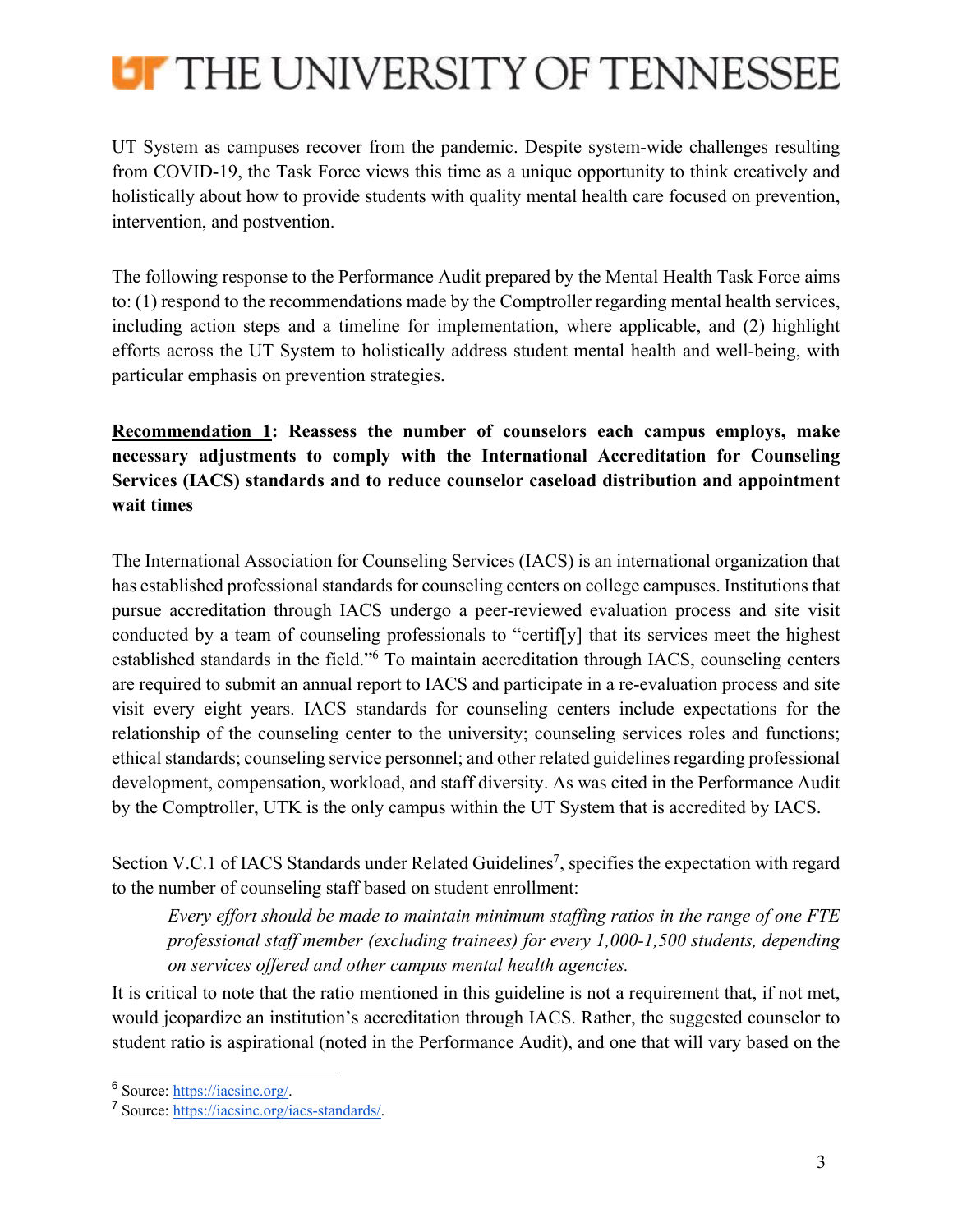

UT System as campuses recover from the pandemic. Despite system-wide challenges resulting from COVID-19, the Task Force views this time as a unique opportunity to think creatively and holistically about how to provide students with quality mental health care focused on prevention, intervention, and postvention.

The following response to the Performance Audit prepared by the Mental Health Task Force aims to: (1) respond to the recommendations made by the Comptroller regarding mental health services, including action steps and a timeline for implementation, where applicable, and (2) highlight efforts across the UT System to holistically address student mental health and well-being, with particular emphasis on prevention strategies.

**Recommendation 1: Reassess the number of counselors each campus employs, make necessary adjustments to comply with the International Accreditation for Counseling Services (IACS) standards and to reduce counselor caseload distribution and appointment wait times**

The International Association for Counseling Services (IACS) is an international organization that has established professional standards for counseling centers on college campuses. Institutions that pursue accreditation through IACS undergo a peer-reviewed evaluation process and site visit conducted by a team of counseling professionals to "certif[y] that its services meet the highest established standards in the field."6 To maintain accreditation through IACS, counseling centers are required to submit an annual report to IACS and participate in a re-evaluation process and site visit every eight years. IACS standards for counseling centers include expectations for the relationship of the counseling center to the university; counseling services roles and functions; ethical standards; counseling service personnel; and other related guidelines regarding professional development, compensation, workload, and staff diversity. As was cited in the Performance Audit by the Comptroller, UTK is the only campus within the UT System that is accredited by IACS.

Section V.C.1 of IACS Standards under Related Guidelines<sup>7</sup>, specifies the expectation with regard to the number of counseling staff based on student enrollment:

*Every effort should be made to maintain minimum staffing ratios in the range of one FTE professional staff member (excluding trainees) for every 1,000-1,500 students, depending on services offered and other campus mental health agencies.*

It is critical to note that the ratio mentioned in this guideline is not a requirement that, if not met, would jeopardize an institution's accreditation through IACS. Rather, the suggested counselor to student ratio is aspirational (noted in the Performance Audit), and one that will vary based on the

<sup>6</sup> Source: https://iacsinc.org/.

<sup>7</sup> Source: https://iacsinc.org/iacs-standards/.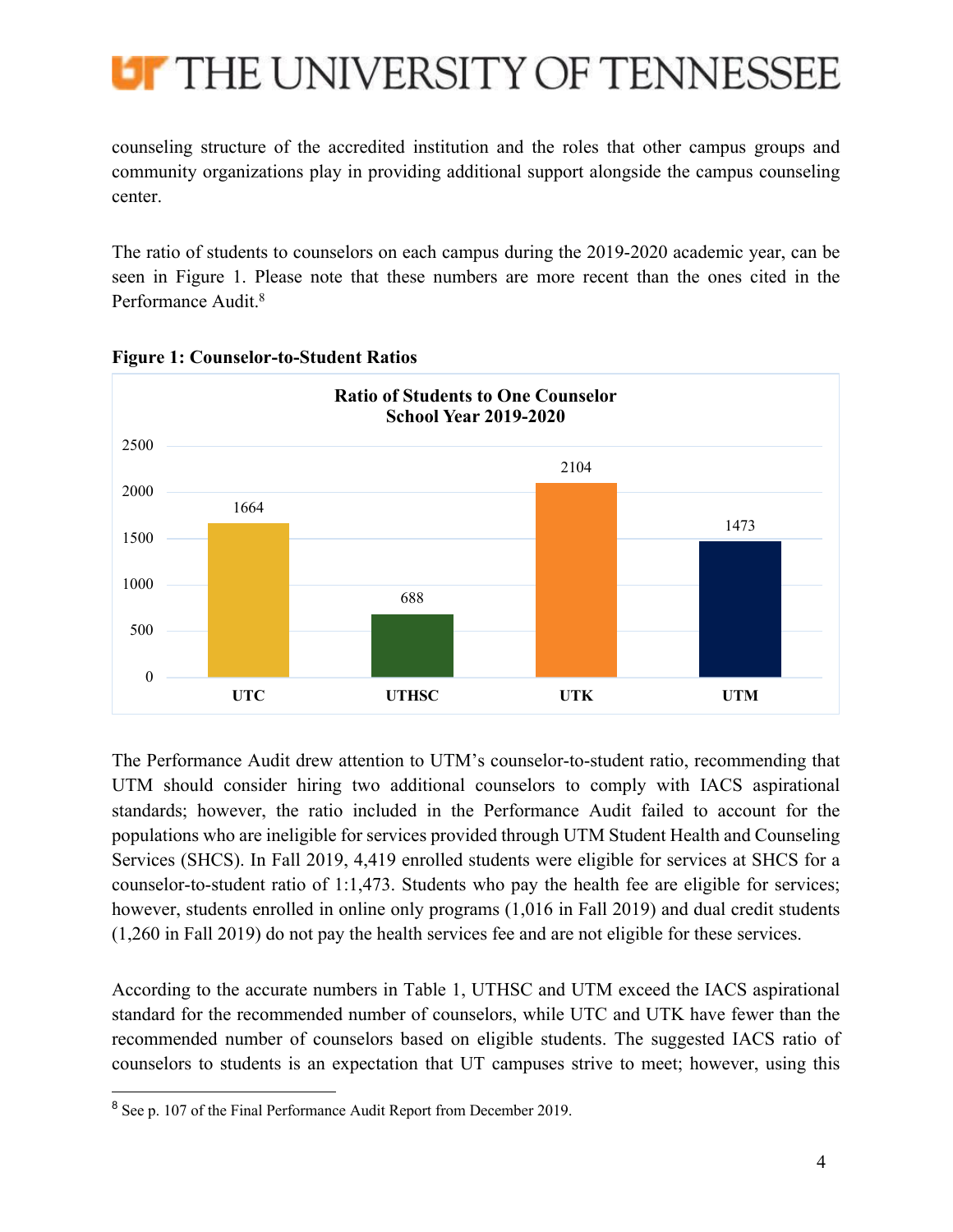

counseling structure of the accredited institution and the roles that other campus groups and community organizations play in providing additional support alongside the campus counseling center.

The ratio of students to counselors on each campus during the 2019-2020 academic year, can be seen in Figure 1. Please note that these numbers are more recent than the ones cited in the Performance Audit.<sup>8</sup>



**Figure 1: Counselor-to-Student Ratios**

The Performance Audit drew attention to UTM's counselor-to-student ratio, recommending that UTM should consider hiring two additional counselors to comply with IACS aspirational standards; however, the ratio included in the Performance Audit failed to account for the populations who are ineligible for services provided through UTM Student Health and Counseling Services (SHCS). In Fall 2019, 4,419 enrolled students were eligible for services at SHCS for a counselor-to-student ratio of 1:1,473. Students who pay the health fee are eligible for services; however, students enrolled in online only programs (1,016 in Fall 2019) and dual credit students (1,260 in Fall 2019) do not pay the health services fee and are not eligible for these services.

According to the accurate numbers in Table 1, UTHSC and UTM exceed the IACS aspirational standard for the recommended number of counselors, while UTC and UTK have fewer than the recommended number of counselors based on eligible students. The suggested IACS ratio of counselors to students is an expectation that UT campuses strive to meet; however, using this

<sup>&</sup>lt;sup>8</sup> See p. 107 of the Final Performance Audit Report from December 2019.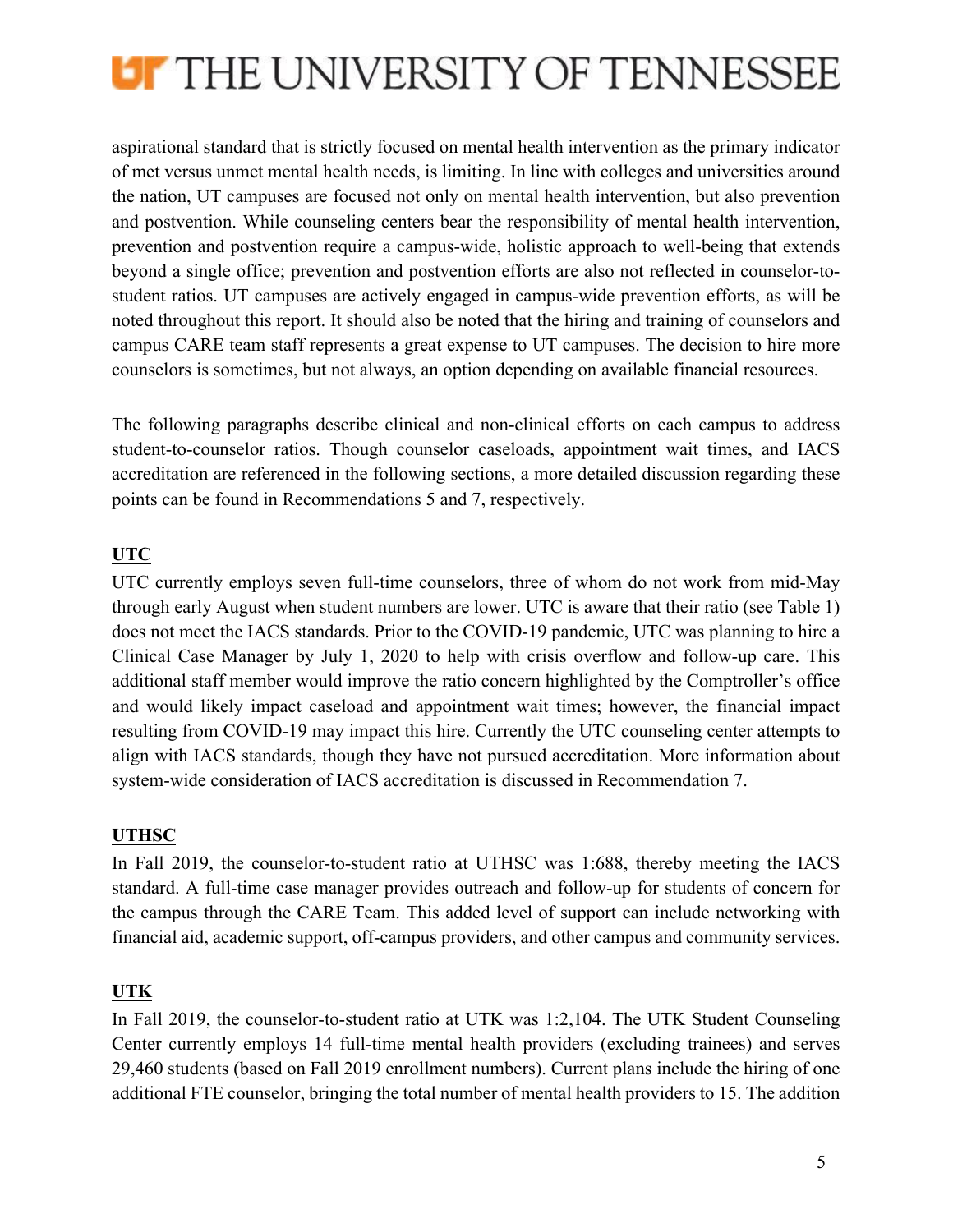

aspirational standard that is strictly focused on mental health intervention as the primary indicator of met versus unmet mental health needs, is limiting. In line with colleges and universities around the nation, UT campuses are focused not only on mental health intervention, but also prevention and postvention. While counseling centers bear the responsibility of mental health intervention, prevention and postvention require a campus-wide, holistic approach to well-being that extends beyond a single office; prevention and postvention efforts are also not reflected in counselor-tostudent ratios. UT campuses are actively engaged in campus-wide prevention efforts, as will be noted throughout this report. It should also be noted that the hiring and training of counselors and campus CARE team staff represents a great expense to UT campuses. The decision to hire more counselors is sometimes, but not always, an option depending on available financial resources.

The following paragraphs describe clinical and non-clinical efforts on each campus to address student-to-counselor ratios. Though counselor caseloads, appointment wait times, and IACS accreditation are referenced in the following sections, a more detailed discussion regarding these points can be found in Recommendations 5 and 7, respectively.

## **UTC**

UTC currently employs seven full-time counselors, three of whom do not work from mid-May through early August when student numbers are lower. UTC is aware that their ratio (see Table 1) does not meet the IACS standards. Prior to the COVID-19 pandemic, UTC was planning to hire a Clinical Case Manager by July 1, 2020 to help with crisis overflow and follow-up care. This additional staff member would improve the ratio concern highlighted by the Comptroller's office and would likely impact caseload and appointment wait times; however, the financial impact resulting from COVID-19 may impact this hire. Currently the UTC counseling center attempts to align with IACS standards, though they have not pursued accreditation. More information about system-wide consideration of IACS accreditation is discussed in Recommendation 7.

## **UTHSC**

In Fall 2019, the counselor-to-student ratio at UTHSC was 1:688, thereby meeting the IACS standard. A full-time case manager provides outreach and follow-up for students of concern for the campus through the CARE Team. This added level of support can include networking with financial aid, academic support, off-campus providers, and other campus and community services.

## **UTK**

In Fall 2019, the counselor-to-student ratio at UTK was 1:2,104. The UTK Student Counseling Center currently employs 14 full-time mental health providers (excluding trainees) and serves 29,460 students (based on Fall 2019 enrollment numbers). Current plans include the hiring of one additional FTE counselor, bringing the total number of mental health providers to 15. The addition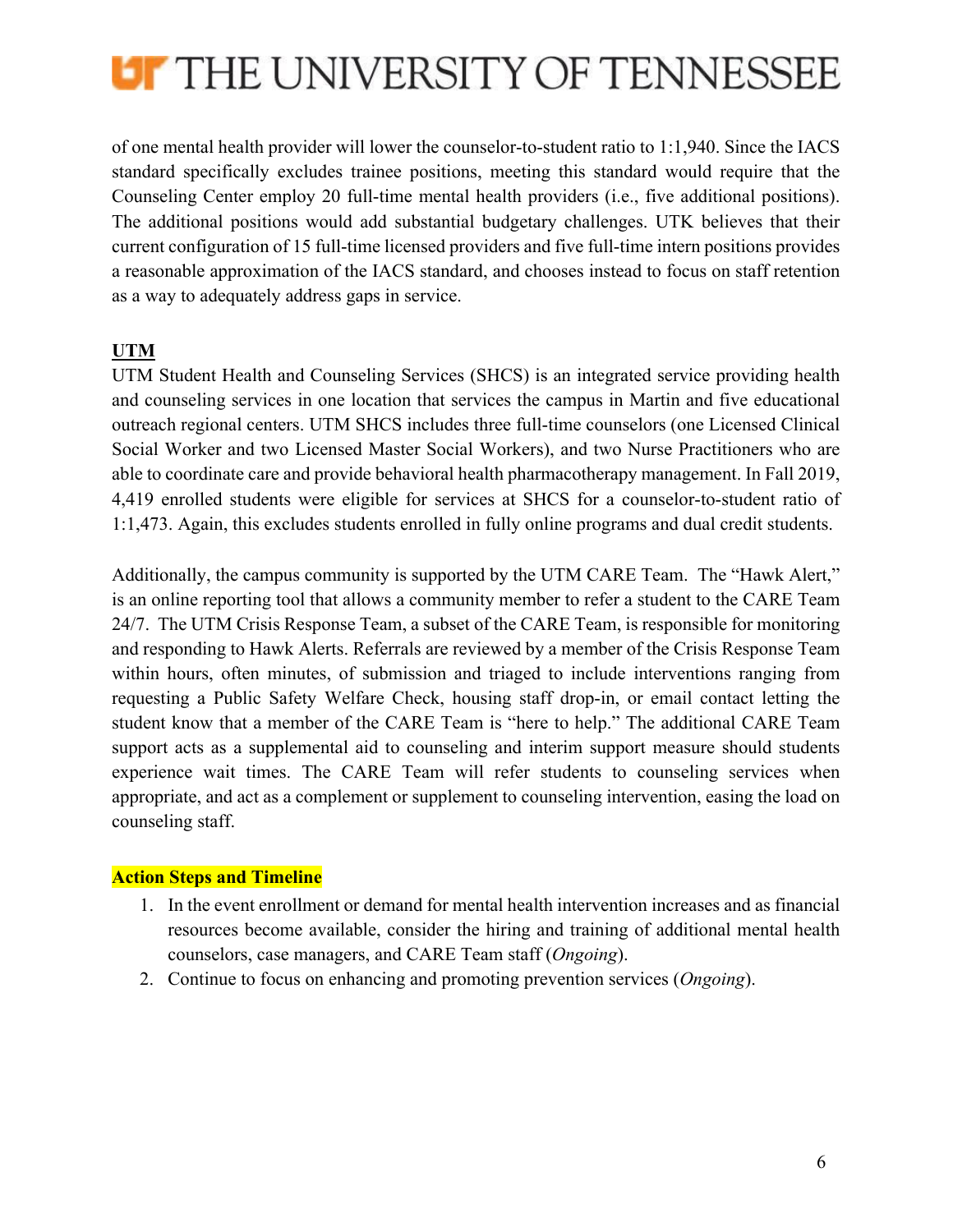

of one mental health provider will lower the counselor-to-student ratio to 1:1,940. Since the IACS standard specifically excludes trainee positions, meeting this standard would require that the Counseling Center employ 20 full-time mental health providers (i.e., five additional positions). The additional positions would add substantial budgetary challenges. UTK believes that their current configuration of 15 full-time licensed providers and five full-time intern positions provides a reasonable approximation of the IACS standard, and chooses instead to focus on staff retention as a way to adequately address gaps in service.

## **UTM**

UTM Student Health and Counseling Services (SHCS) is an integrated service providing health and counseling services in one location that services the campus in Martin and five educational outreach regional centers. UTM SHCS includes three full-time counselors (one Licensed Clinical Social Worker and two Licensed Master Social Workers), and two Nurse Practitioners who are able to coordinate care and provide behavioral health pharmacotherapy management. In Fall 2019, 4,419 enrolled students were eligible for services at SHCS for a counselor-to-student ratio of 1:1,473. Again, this excludes students enrolled in fully online programs and dual credit students.

Additionally, the campus community is supported by the UTM CARE Team. The "Hawk Alert," is an online reporting tool that allows a community member to refer a student to the CARE Team 24/7. The UTM Crisis Response Team, a subset of the CARE Team, is responsible for monitoring and responding to Hawk Alerts. Referrals are reviewed by a member of the Crisis Response Team within hours, often minutes, of submission and triaged to include interventions ranging from requesting a Public Safety Welfare Check, housing staff drop-in, or email contact letting the student know that a member of the CARE Team is "here to help." The additional CARE Team support acts as a supplemental aid to counseling and interim support measure should students experience wait times. The CARE Team will refer students to counseling services when appropriate, and act as a complement or supplement to counseling intervention, easing the load on counseling staff.

### **Action Steps and Timeline**

- 1. In the event enrollment or demand for mental health intervention increases and as financial resources become available, consider the hiring and training of additional mental health counselors, case managers, and CARE Team staff (*Ongoing*).
- 2. Continue to focus on enhancing and promoting prevention services (*Ongoing*).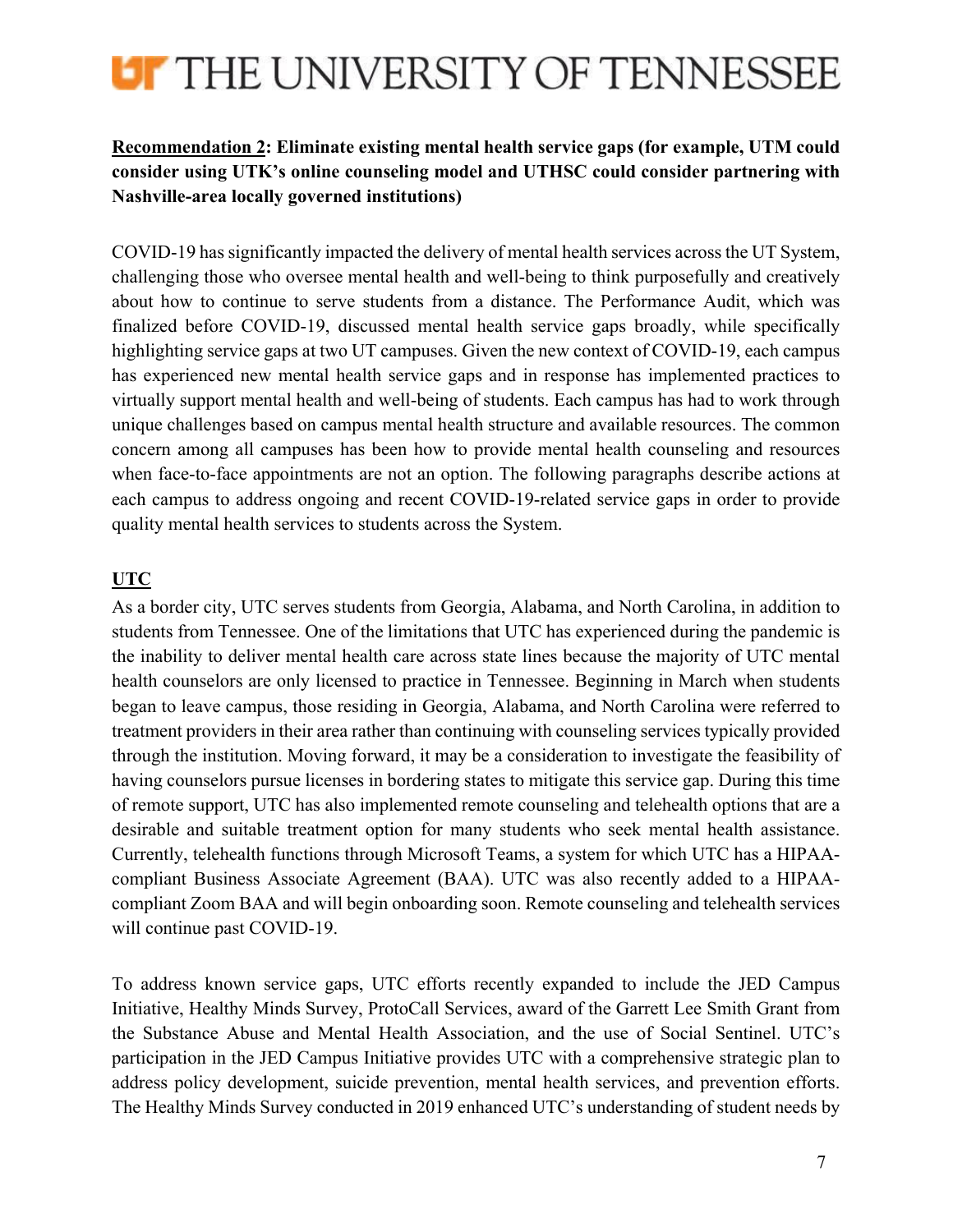

## **Recommendation 2: Eliminate existing mental health service gaps (for example, UTM could consider using UTK's online counseling model and UTHSC could consider partnering with Nashville-area locally governed institutions)**

COVID-19 has significantly impacted the delivery of mental health services across the UT System, challenging those who oversee mental health and well-being to think purposefully and creatively about how to continue to serve students from a distance. The Performance Audit, which was finalized before COVID-19, discussed mental health service gaps broadly, while specifically highlighting service gaps at two UT campuses. Given the new context of COVID-19, each campus has experienced new mental health service gaps and in response has implemented practices to virtually support mental health and well-being of students. Each campus has had to work through unique challenges based on campus mental health structure and available resources. The common concern among all campuses has been how to provide mental health counseling and resources when face-to-face appointments are not an option. The following paragraphs describe actions at each campus to address ongoing and recent COVID-19-related service gaps in order to provide quality mental health services to students across the System.

## **UTC**

As a border city, UTC serves students from Georgia, Alabama, and North Carolina, in addition to students from Tennessee. One of the limitations that UTC has experienced during the pandemic is the inability to deliver mental health care across state lines because the majority of UTC mental health counselors are only licensed to practice in Tennessee. Beginning in March when students began to leave campus, those residing in Georgia, Alabama, and North Carolina were referred to treatment providers in their area rather than continuing with counseling services typically provided through the institution. Moving forward, it may be a consideration to investigate the feasibility of having counselors pursue licenses in bordering states to mitigate this service gap. During this time of remote support, UTC has also implemented remote counseling and telehealth options that are a desirable and suitable treatment option for many students who seek mental health assistance. Currently, telehealth functions through Microsoft Teams, a system for which UTC has a HIPAAcompliant Business Associate Agreement (BAA). UTC was also recently added to a HIPAAcompliant Zoom BAA and will begin onboarding soon. Remote counseling and telehealth services will continue past COVID-19.

To address known service gaps, UTC efforts recently expanded to include the JED Campus Initiative, Healthy Minds Survey, ProtoCall Services, award of the Garrett Lee Smith Grant from the Substance Abuse and Mental Health Association, and the use of Social Sentinel. UTC's participation in the JED Campus Initiative provides UTC with a comprehensive strategic plan to address policy development, suicide prevention, mental health services, and prevention efforts. The Healthy Minds Survey conducted in 2019 enhanced UTC's understanding of student needs by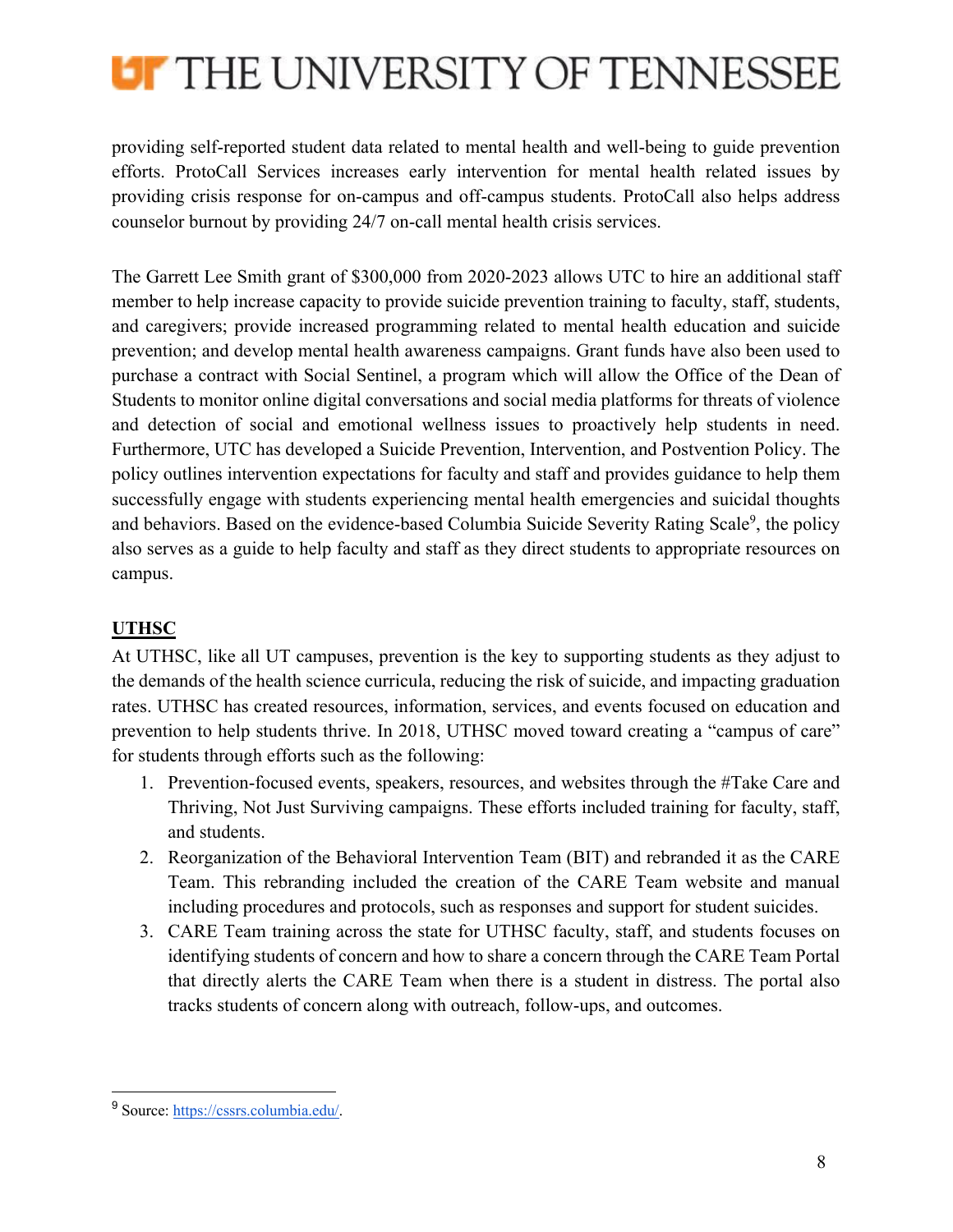

providing self-reported student data related to mental health and well-being to guide prevention efforts. ProtoCall Services increases early intervention for mental health related issues by providing crisis response for on-campus and off-campus students. ProtoCall also helps address counselor burnout by providing 24/7 on-call mental health crisis services.

The Garrett Lee Smith grant of \$300,000 from 2020-2023 allows UTC to hire an additional staff member to help increase capacity to provide suicide prevention training to faculty, staff, students, and caregivers; provide increased programming related to mental health education and suicide prevention; and develop mental health awareness campaigns. Grant funds have also been used to purchase a contract with Social Sentinel, a program which will allow the Office of the Dean of Students to monitor online digital conversations and social media platforms for threats of violence and detection of social and emotional wellness issues to proactively help students in need. Furthermore, UTC has developed a Suicide Prevention, Intervention, and Postvention Policy. The policy outlines intervention expectations for faculty and staff and provides guidance to help them successfully engage with students experiencing mental health emergencies and suicidal thoughts and behaviors. Based on the evidence-based Columbia Suicide Severity Rating Scale<sup>9</sup>, the policy also serves as a guide to help faculty and staff as they direct students to appropriate resources on campus.

## **UTHSC**

At UTHSC, like all UT campuses, prevention is the key to supporting students as they adjust to the demands of the health science curricula, reducing the risk of suicide, and impacting graduation rates. UTHSC has created resources, information, services, and events focused on education and prevention to help students thrive. In 2018, UTHSC moved toward creating a "campus of care" for students through efforts such as the following:

- 1. Prevention-focused events, speakers, resources, and websites through the #Take Care and Thriving, Not Just Surviving campaigns. These efforts included training for faculty, staff, and students.
- 2. Reorganization of the Behavioral Intervention Team (BIT) and rebranded it as the CARE Team. This rebranding included the creation of the CARE Team website and manual including procedures and protocols, such as responses and support for student suicides.
- 3. CARE Team training across the state for UTHSC faculty, staff, and students focuses on identifying students of concern and how to share a concern through the CARE Team Portal that directly alerts the CARE Team when there is a student in distress. The portal also tracks students of concern along with outreach, follow-ups, and outcomes.

<sup>9</sup> Source: https://cssrs.columbia.edu/.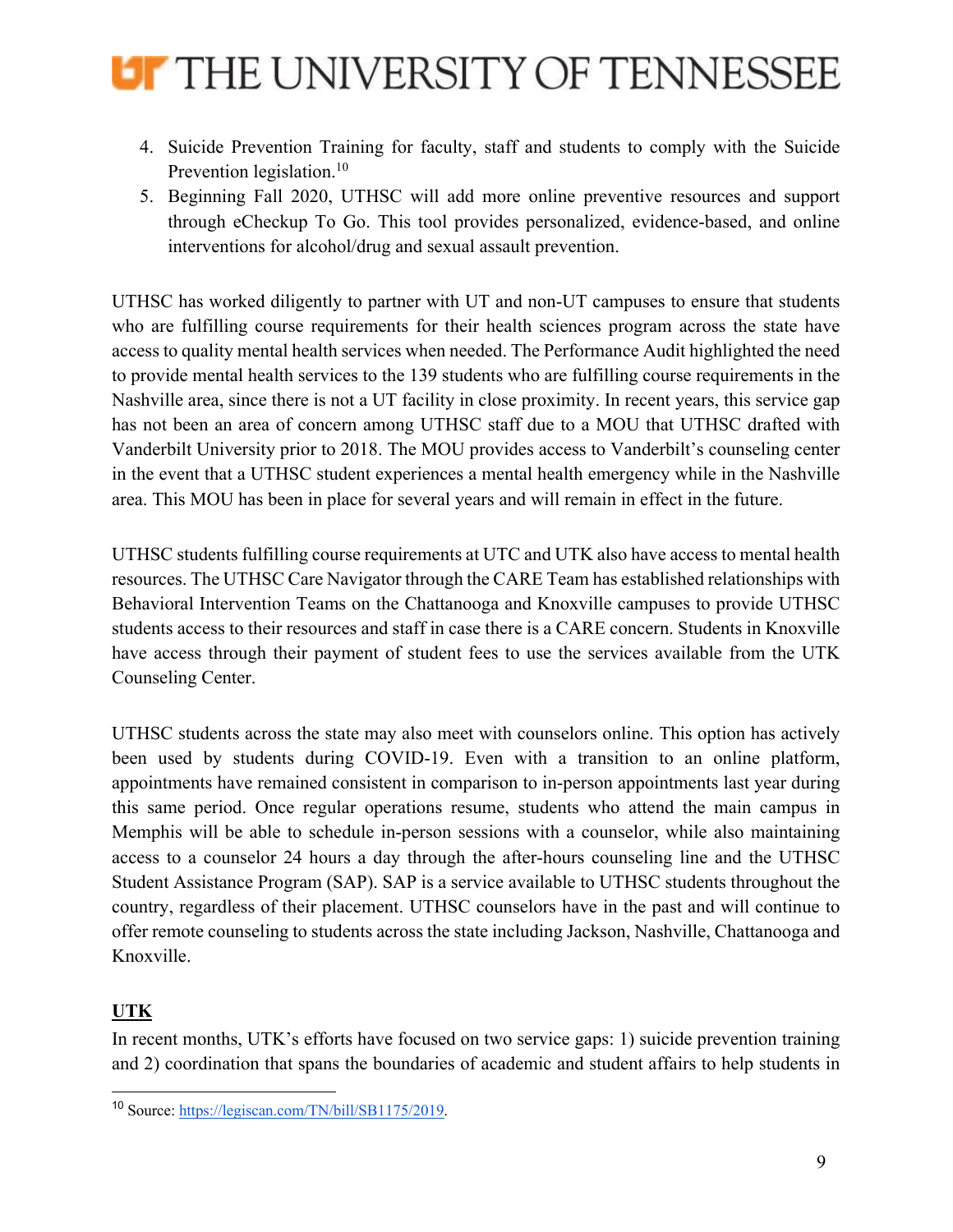

- 4. Suicide Prevention Training for faculty, staff and students to comply with the Suicide Prevention legislation.<sup>10</sup>
- 5. Beginning Fall 2020, UTHSC will add more online preventive resources and support through eCheckup To Go. This tool provides personalized, evidence-based, and online interventions for alcohol/drug and sexual assault prevention.

UTHSC has worked diligently to partner with UT and non-UT campuses to ensure that students who are fulfilling course requirements for their health sciences program across the state have access to quality mental health services when needed. The Performance Audit highlighted the need to provide mental health services to the 139 students who are fulfilling course requirements in the Nashville area, since there is not a UT facility in close proximity. In recent years, this service gap has not been an area of concern among UTHSC staff due to a MOU that UTHSC drafted with Vanderbilt University prior to 2018. The MOU provides access to Vanderbilt's counseling center in the event that a UTHSC student experiences a mental health emergency while in the Nashville area. This MOU has been in place for several years and will remain in effect in the future.

UTHSC students fulfilling course requirements at UTC and UTK also have access to mental health resources. The UTHSC Care Navigator through the CARE Team has established relationships with Behavioral Intervention Teams on the Chattanooga and Knoxville campuses to provide UTHSC students access to their resources and staff in case there is a CARE concern. Students in Knoxville have access through their payment of student fees to use the services available from the UTK Counseling Center.

UTHSC students across the state may also meet with counselors online. This option has actively been used by students during COVID-19. Even with a transition to an online platform, appointments have remained consistent in comparison to in-person appointments last year during this same period. Once regular operations resume, students who attend the main campus in Memphis will be able to schedule in-person sessions with a counselor, while also maintaining access to a counselor 24 hours a day through the after-hours counseling line and the UTHSC Student Assistance Program (SAP). SAP is a service available to UTHSC students throughout the country, regardless of their placement. UTHSC counselors have in the past and will continue to offer remote counseling to students across the state including Jackson, Nashville, Chattanooga and Knoxville.

## **UTK**

In recent months, UTK's efforts have focused on two service gaps: 1) suicide prevention training and 2) coordination that spans the boundaries of academic and student affairs to help students in

<sup>10</sup> Source: https://legiscan.com/TN/bill/SB1175/2019.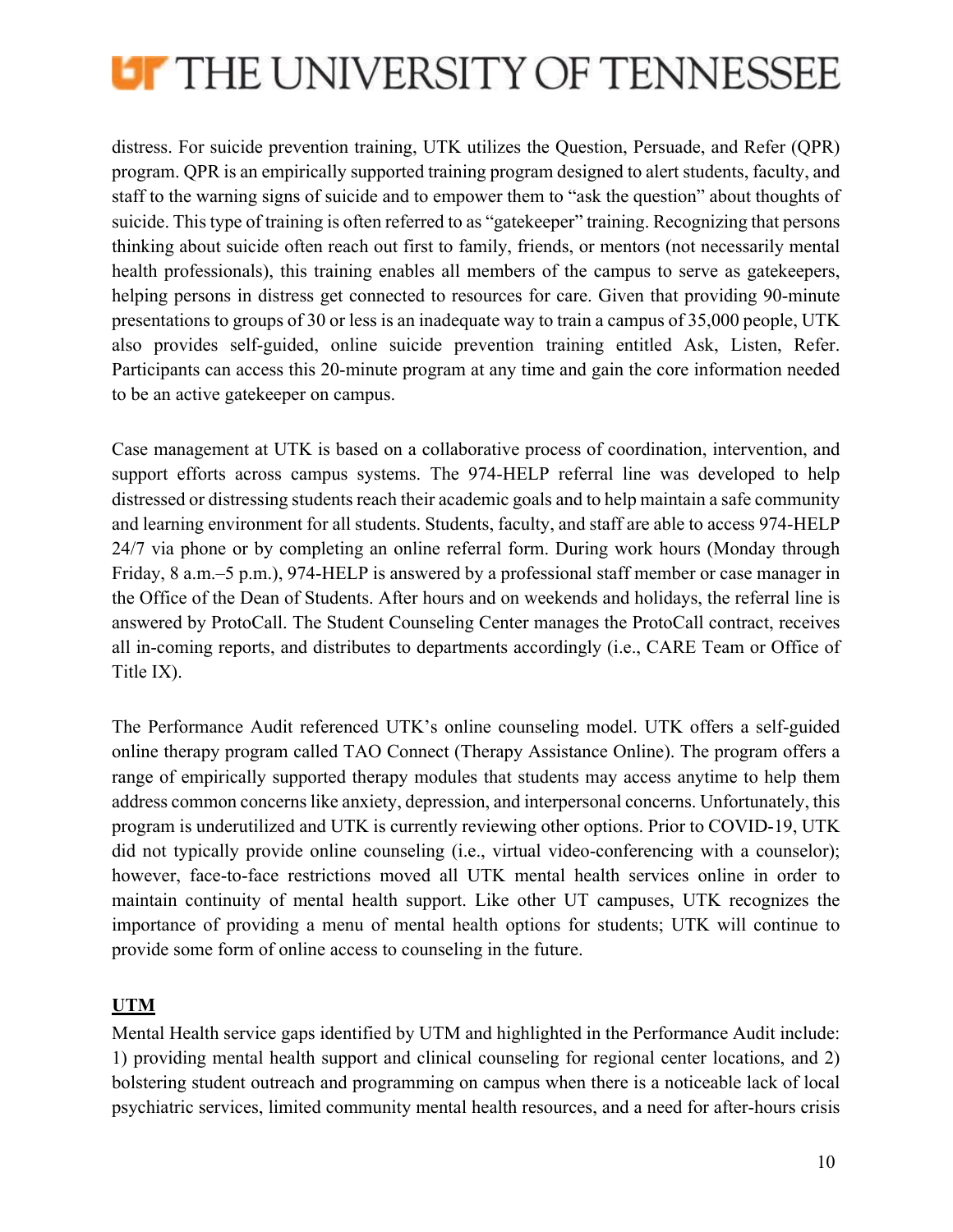

distress. For suicide prevention training, UTK utilizes the Question, Persuade, and Refer (QPR) program. QPR is an empirically supported training program designed to alert students, faculty, and staff to the warning signs of suicide and to empower them to "ask the question" about thoughts of suicide. This type of training is often referred to as "gatekeeper" training. Recognizing that persons thinking about suicide often reach out first to family, friends, or mentors (not necessarily mental health professionals), this training enables all members of the campus to serve as gatekeepers, helping persons in distress get connected to resources for care. Given that providing 90-minute presentations to groups of 30 or less is an inadequate way to train a campus of 35,000 people, UTK also provides self-guided, online suicide prevention training entitled Ask, Listen, Refer. Participants can access this 20-minute program at any time and gain the core information needed to be an active gatekeeper on campus.

Case management at UTK is based on a collaborative process of coordination, intervention, and support efforts across campus systems. The 974-HELP referral line was developed to help distressed or distressing students reach their academic goals and to help maintain a safe community and learning environment for all students. Students, faculty, and staff are able to access 974-HELP 24/7 via phone or by completing an online referral form. During work hours (Monday through Friday, 8 a.m.–5 p.m.), 974-HELP is answered by a professional staff member or case manager in the Office of the Dean of Students. After hours and on weekends and holidays, the referral line is answered by ProtoCall. The Student Counseling Center manages the ProtoCall contract, receives all in-coming reports, and distributes to departments accordingly (i.e., CARE Team or Office of Title IX).

The Performance Audit referenced UTK's online counseling model. UTK offers a self-guided online therapy program called TAO Connect (Therapy Assistance Online). The program offers a range of empirically supported therapy modules that students may access anytime to help them address common concerns like anxiety, depression, and interpersonal concerns. Unfortunately, this program is underutilized and UTK is currently reviewing other options. Prior to COVID-19, UTK did not typically provide online counseling (i.e., virtual video-conferencing with a counselor); however, face-to-face restrictions moved all UTK mental health services online in order to maintain continuity of mental health support. Like other UT campuses, UTK recognizes the importance of providing a menu of mental health options for students; UTK will continue to provide some form of online access to counseling in the future.

## **UTM**

Mental Health service gaps identified by UTM and highlighted in the Performance Audit include: 1) providing mental health support and clinical counseling for regional center locations, and 2) bolstering student outreach and programming on campus when there is a noticeable lack of local psychiatric services, limited community mental health resources, and a need for after-hours crisis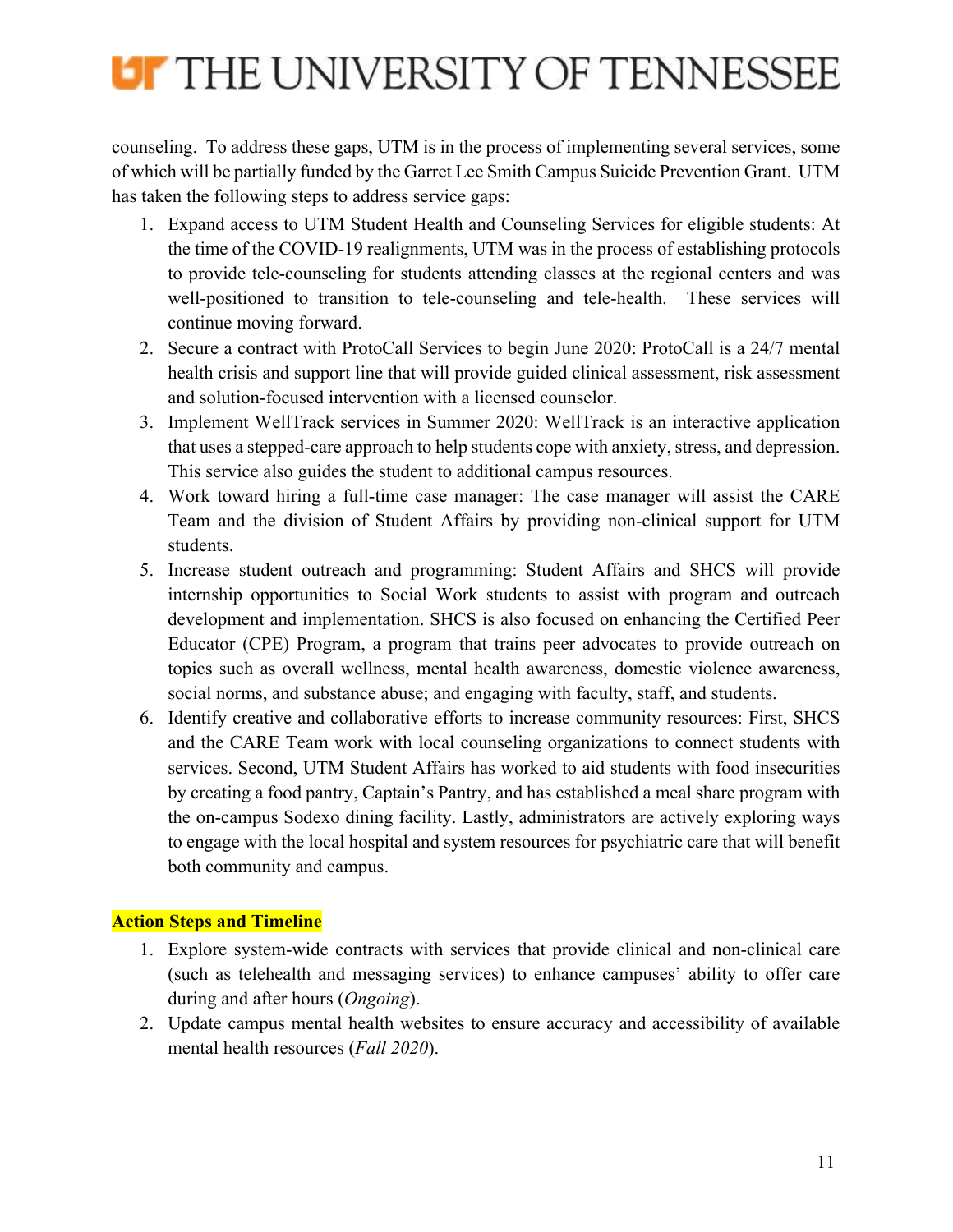

counseling. To address these gaps, UTM is in the process of implementing several services, some of which will be partially funded by the Garret Lee Smith Campus Suicide Prevention Grant. UTM has taken the following steps to address service gaps:

- 1. Expand access to UTM Student Health and Counseling Services for eligible students: At the time of the COVID-19 realignments, UTM was in the process of establishing protocols to provide tele-counseling for students attending classes at the regional centers and was well-positioned to transition to tele-counseling and tele-health. These services will continue moving forward.
- 2. Secure a contract with ProtoCall Services to begin June 2020: ProtoCall is a 24/7 mental health crisis and support line that will provide guided clinical assessment, risk assessment and solution-focused intervention with a licensed counselor.
- 3. Implement WellTrack services in Summer 2020: WellTrack is an interactive application that uses a stepped-care approach to help students cope with anxiety, stress, and depression. This service also guides the student to additional campus resources.
- 4. Work toward hiring a full-time case manager: The case manager will assist the CARE Team and the division of Student Affairs by providing non-clinical support for UTM students.
- 5. Increase student outreach and programming: Student Affairs and SHCS will provide internship opportunities to Social Work students to assist with program and outreach development and implementation. SHCS is also focused on enhancing the Certified Peer Educator (CPE) Program, a program that trains peer advocates to provide outreach on topics such as overall wellness, mental health awareness, domestic violence awareness, social norms, and substance abuse; and engaging with faculty, staff, and students.
- 6. Identify creative and collaborative efforts to increase community resources: First, SHCS and the CARE Team work with local counseling organizations to connect students with services. Second, UTM Student Affairs has worked to aid students with food insecurities by creating a food pantry, Captain's Pantry, and has established a meal share program with the on-campus Sodexo dining facility. Lastly, administrators are actively exploring ways to engage with the local hospital and system resources for psychiatric care that will benefit both community and campus.

## **Action Steps and Timeline**

- 1. Explore system-wide contracts with services that provide clinical and non-clinical care (such as telehealth and messaging services) to enhance campuses' ability to offer care during and after hours (*Ongoing*).
- 2. Update campus mental health websites to ensure accuracy and accessibility of available mental health resources (*Fall 2020*).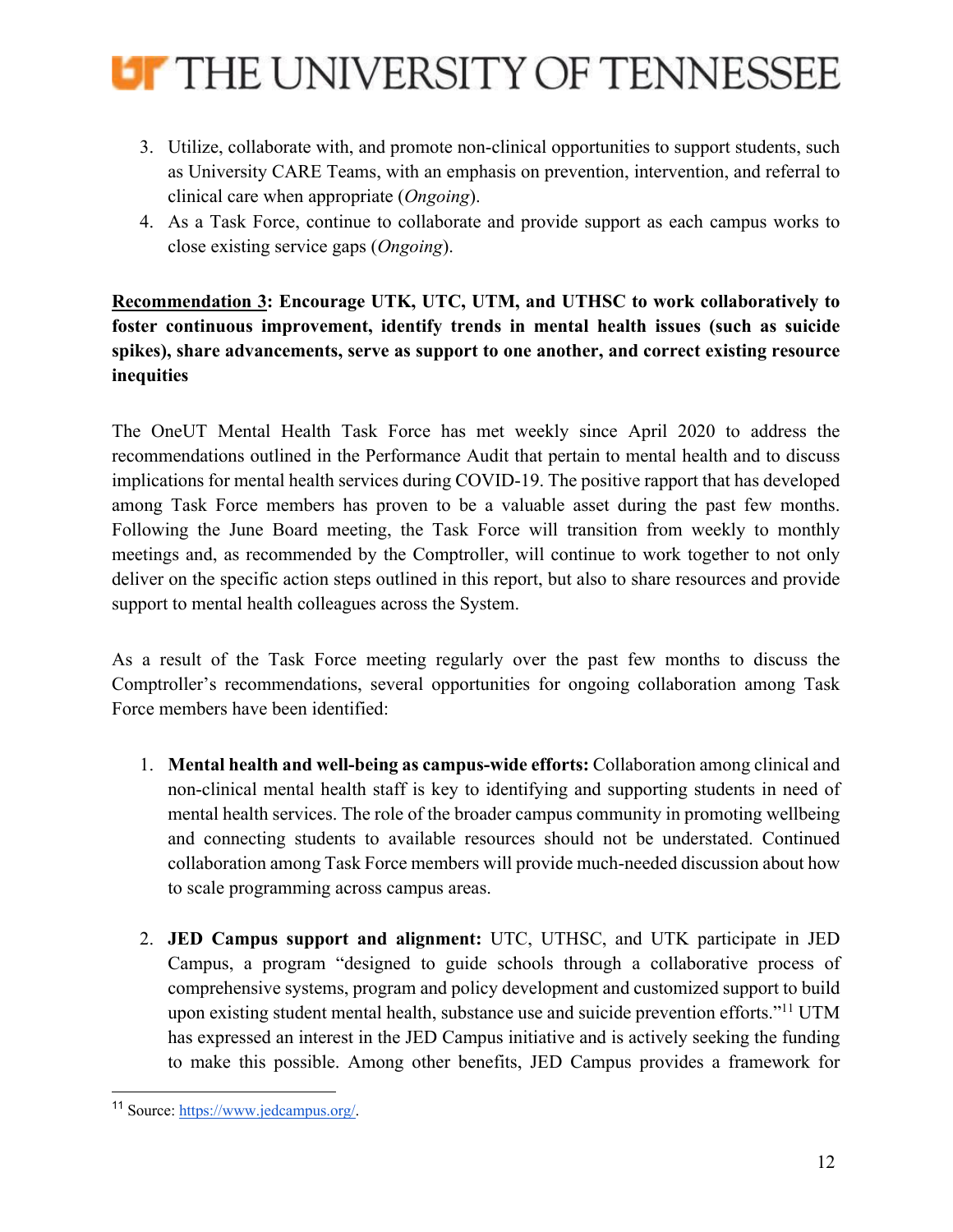

- 3. Utilize, collaborate with, and promote non-clinical opportunities to support students, such as University CARE Teams, with an emphasis on prevention, intervention, and referral to clinical care when appropriate (*Ongoing*).
- 4. As a Task Force, continue to collaborate and provide support as each campus works to close existing service gaps (*Ongoing*).

**Recommendation 3: Encourage UTK, UTC, UTM, and UTHSC to work collaboratively to foster continuous improvement, identify trends in mental health issues (such as suicide spikes), share advancements, serve as support to one another, and correct existing resource inequities**

The OneUT Mental Health Task Force has met weekly since April 2020 to address the recommendations outlined in the Performance Audit that pertain to mental health and to discuss implications for mental health services during COVID-19. The positive rapport that has developed among Task Force members has proven to be a valuable asset during the past few months. Following the June Board meeting, the Task Force will transition from weekly to monthly meetings and, as recommended by the Comptroller, will continue to work together to not only deliver on the specific action steps outlined in this report, but also to share resources and provide support to mental health colleagues across the System.

As a result of the Task Force meeting regularly over the past few months to discuss the Comptroller's recommendations, several opportunities for ongoing collaboration among Task Force members have been identified:

- 1. **Mental health and well-being as campus-wide efforts:** Collaboration among clinical and non-clinical mental health staff is key to identifying and supporting students in need of mental health services. The role of the broader campus community in promoting wellbeing and connecting students to available resources should not be understated. Continued collaboration among Task Force members will provide much-needed discussion about how to scale programming across campus areas.
- 2. **JED Campus support and alignment:** UTC, UTHSC, and UTK participate in JED Campus, a program "designed to guide schools through a collaborative process of comprehensive systems, program and policy development and customized support to build upon existing student mental health, substance use and suicide prevention efforts."<sup>11</sup> UTM has expressed an interest in the JED Campus initiative and is actively seeking the funding to make this possible. Among other benefits, JED Campus provides a framework for

<sup>11</sup> Source: https://www.jedcampus.org/.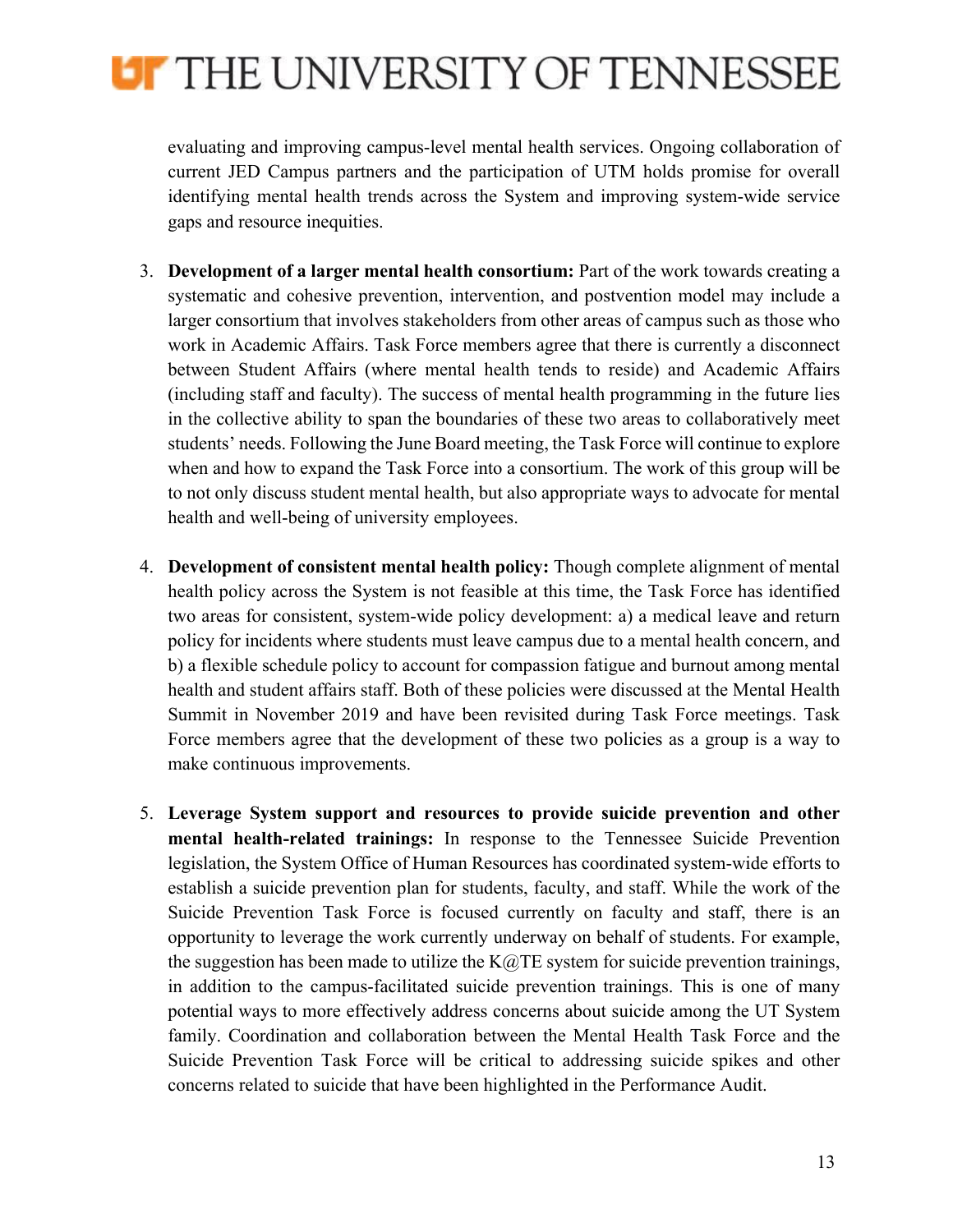

evaluating and improving campus-level mental health services. Ongoing collaboration of current JED Campus partners and the participation of UTM holds promise for overall identifying mental health trends across the System and improving system-wide service gaps and resource inequities.

- 3. **Development of a larger mental health consortium:** Part of the work towards creating a systematic and cohesive prevention, intervention, and postvention model may include a larger consortium that involves stakeholders from other areas of campus such as those who work in Academic Affairs. Task Force members agree that there is currently a disconnect between Student Affairs (where mental health tends to reside) and Academic Affairs (including staff and faculty). The success of mental health programming in the future lies in the collective ability to span the boundaries of these two areas to collaboratively meet students' needs. Following the June Board meeting, the Task Force will continue to explore when and how to expand the Task Force into a consortium. The work of this group will be to not only discuss student mental health, but also appropriate ways to advocate for mental health and well-being of university employees.
- 4. **Development of consistent mental health policy:** Though complete alignment of mental health policy across the System is not feasible at this time, the Task Force has identified two areas for consistent, system-wide policy development: a) a medical leave and return policy for incidents where students must leave campus due to a mental health concern, and b) a flexible schedule policy to account for compassion fatigue and burnout among mental health and student affairs staff. Both of these policies were discussed at the Mental Health Summit in November 2019 and have been revisited during Task Force meetings. Task Force members agree that the development of these two policies as a group is a way to make continuous improvements.
- 5. **Leverage System support and resources to provide suicide prevention and other mental health-related trainings:** In response to the Tennessee Suicide Prevention legislation, the System Office of Human Resources has coordinated system-wide efforts to establish a suicide prevention plan for students, faculty, and staff. While the work of the Suicide Prevention Task Force is focused currently on faculty and staff, there is an opportunity to leverage the work currently underway on behalf of students. For example, the suggestion has been made to utilize the  $K@TE$  system for suicide prevention trainings, in addition to the campus-facilitated suicide prevention trainings. This is one of many potential ways to more effectively address concerns about suicide among the UT System family. Coordination and collaboration between the Mental Health Task Force and the Suicide Prevention Task Force will be critical to addressing suicide spikes and other concerns related to suicide that have been highlighted in the Performance Audit.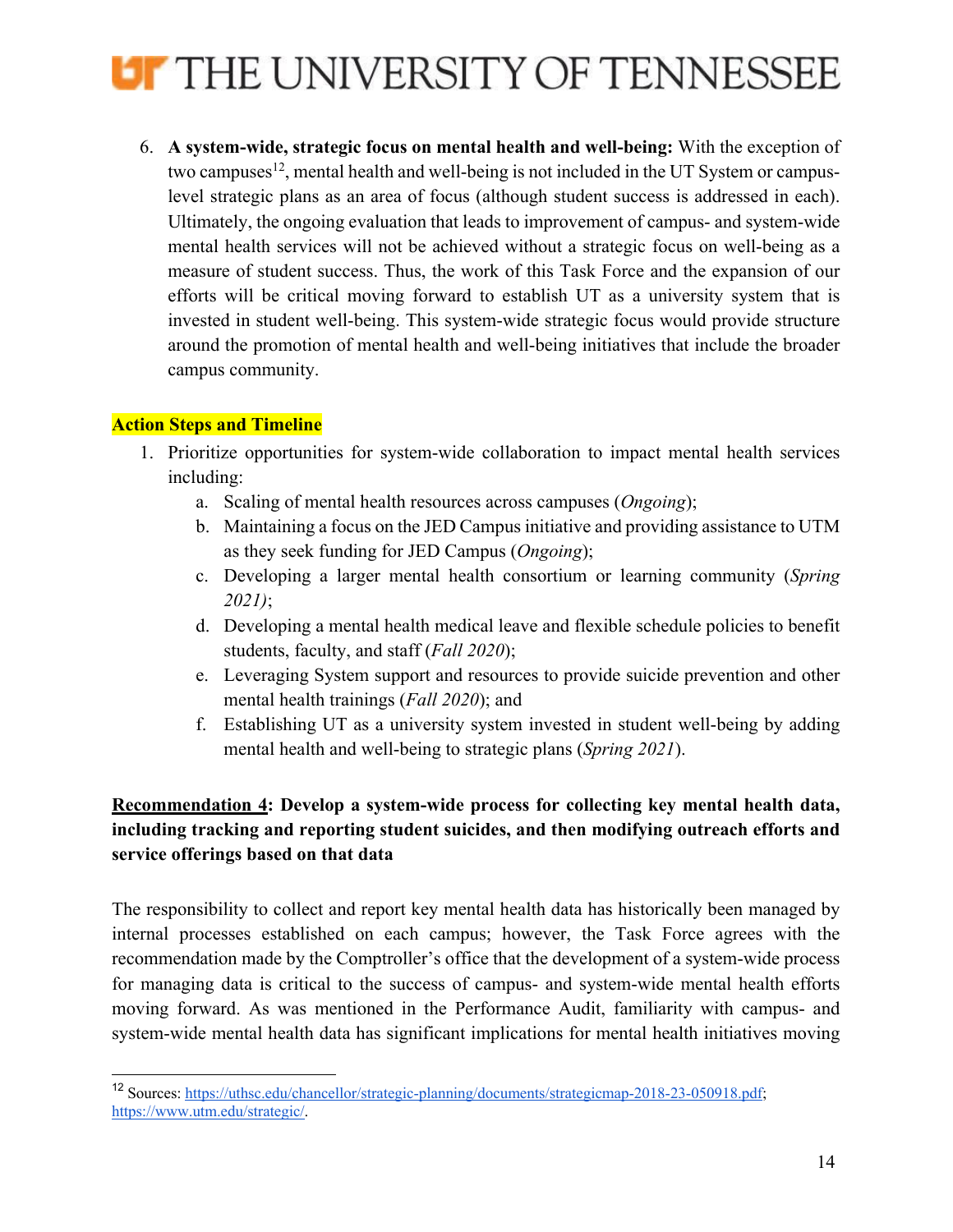

6. **A system-wide, strategic focus on mental health and well-being:** With the exception of two campuses<sup>12</sup>, mental health and well-being is not included in the UT System or campuslevel strategic plans as an area of focus (although student success is addressed in each). Ultimately, the ongoing evaluation that leads to improvement of campus- and system-wide mental health services will not be achieved without a strategic focus on well-being as a measure of student success. Thus, the work of this Task Force and the expansion of our efforts will be critical moving forward to establish UT as a university system that is invested in student well-being. This system-wide strategic focus would provide structure around the promotion of mental health and well-being initiatives that include the broader campus community.

### **Action Steps and Timeline**

- 1. Prioritize opportunities for system-wide collaboration to impact mental health services including:
	- a. Scaling of mental health resources across campuses (*Ongoing*);
	- b. Maintaining a focus on the JED Campus initiative and providing assistance to UTM as they seek funding for JED Campus (*Ongoing*);
	- c. Developing a larger mental health consortium or learning community (*Spring 2021)*;
	- d. Developing a mental health medical leave and flexible schedule policies to benefit students, faculty, and staff (*Fall 2020*);
	- e. Leveraging System support and resources to provide suicide prevention and other mental health trainings (*Fall 2020*); and
	- f. Establishing UT as a university system invested in student well-being by adding mental health and well-being to strategic plans (*Spring 2021*).

## **Recommendation 4: Develop a system-wide process for collecting key mental health data, including tracking and reporting student suicides, and then modifying outreach efforts and service offerings based on that data**

The responsibility to collect and report key mental health data has historically been managed by internal processes established on each campus; however, the Task Force agrees with the recommendation made by the Comptroller's office that the development of a system-wide process for managing data is critical to the success of campus- and system-wide mental health efforts moving forward. As was mentioned in the Performance Audit, familiarity with campus- and system-wide mental health data has significant implications for mental health initiatives moving

<sup>12</sup> Sources: https://uthsc.edu/chancellor/strategic-planning/documents/strategicmap-2018-23-050918.pdf; https://www.utm.edu/strategic/.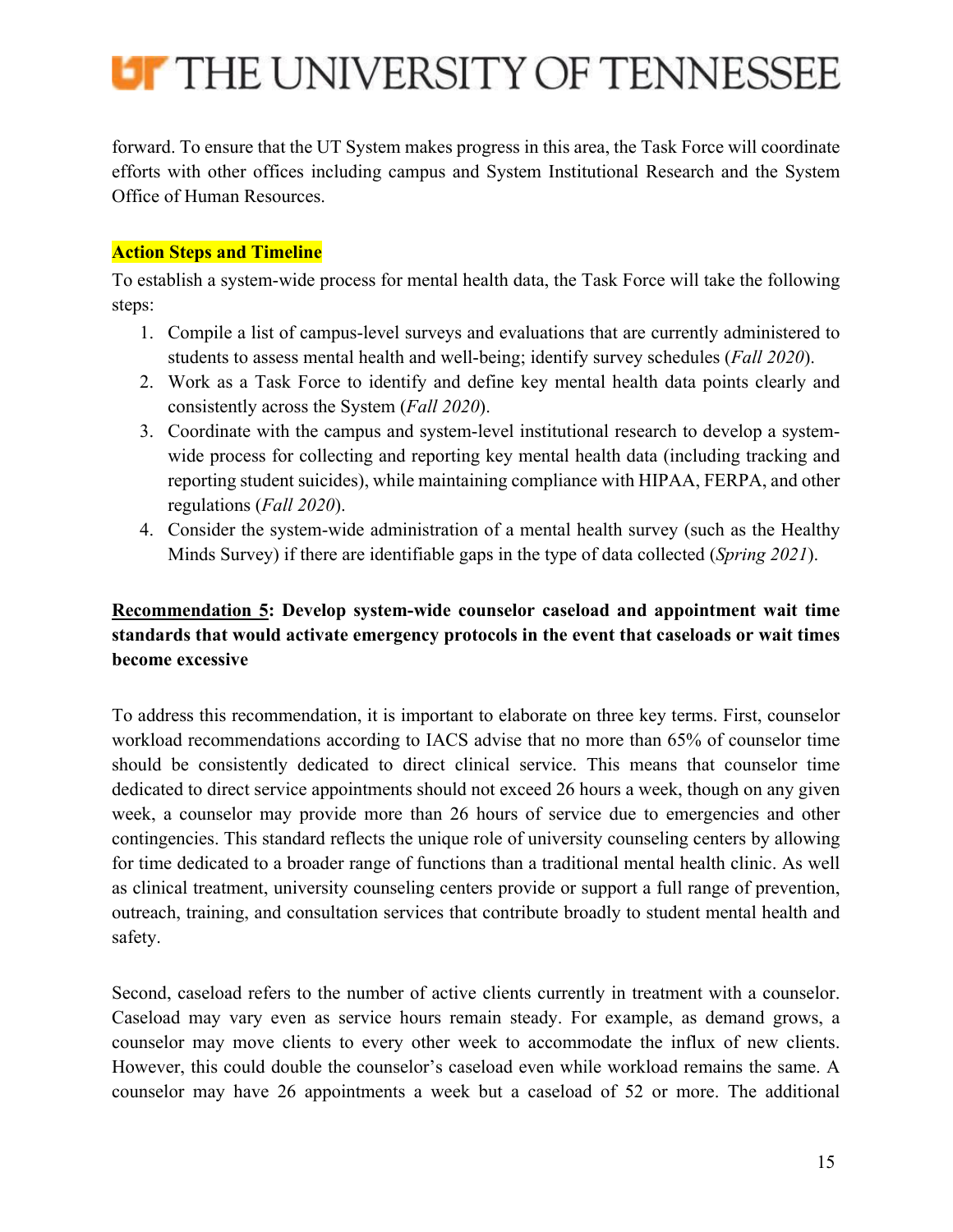

forward. To ensure that the UT System makes progress in this area, the Task Force will coordinate efforts with other offices including campus and System Institutional Research and the System Office of Human Resources.

### **Action Steps and Timeline**

To establish a system-wide process for mental health data, the Task Force will take the following steps:

- 1. Compile a list of campus-level surveys and evaluations that are currently administered to students to assess mental health and well-being; identify survey schedules (*Fall 2020*).
- 2. Work as a Task Force to identify and define key mental health data points clearly and consistently across the System (*Fall 2020*).
- 3. Coordinate with the campus and system-level institutional research to develop a systemwide process for collecting and reporting key mental health data (including tracking and reporting student suicides), while maintaining compliance with HIPAA, FERPA, and other regulations (*Fall 2020*).
- 4. Consider the system-wide administration of a mental health survey (such as the Healthy Minds Survey) if there are identifiable gaps in the type of data collected (*Spring 2021*).

## **Recommendation 5: Develop system-wide counselor caseload and appointment wait time standards that would activate emergency protocols in the event that caseloads or wait times become excessive**

To address this recommendation, it is important to elaborate on three key terms. First, counselor workload recommendations according to IACS advise that no more than 65% of counselor time should be consistently dedicated to direct clinical service. This means that counselor time dedicated to direct service appointments should not exceed 26 hours a week, though on any given week, a counselor may provide more than 26 hours of service due to emergencies and other contingencies. This standard reflects the unique role of university counseling centers by allowing for time dedicated to a broader range of functions than a traditional mental health clinic. As well as clinical treatment, university counseling centers provide or support a full range of prevention, outreach, training, and consultation services that contribute broadly to student mental health and safety.

Second, caseload refers to the number of active clients currently in treatment with a counselor. Caseload may vary even as service hours remain steady. For example, as demand grows, a counselor may move clients to every other week to accommodate the influx of new clients. However, this could double the counselor's caseload even while workload remains the same. A counselor may have 26 appointments a week but a caseload of 52 or more. The additional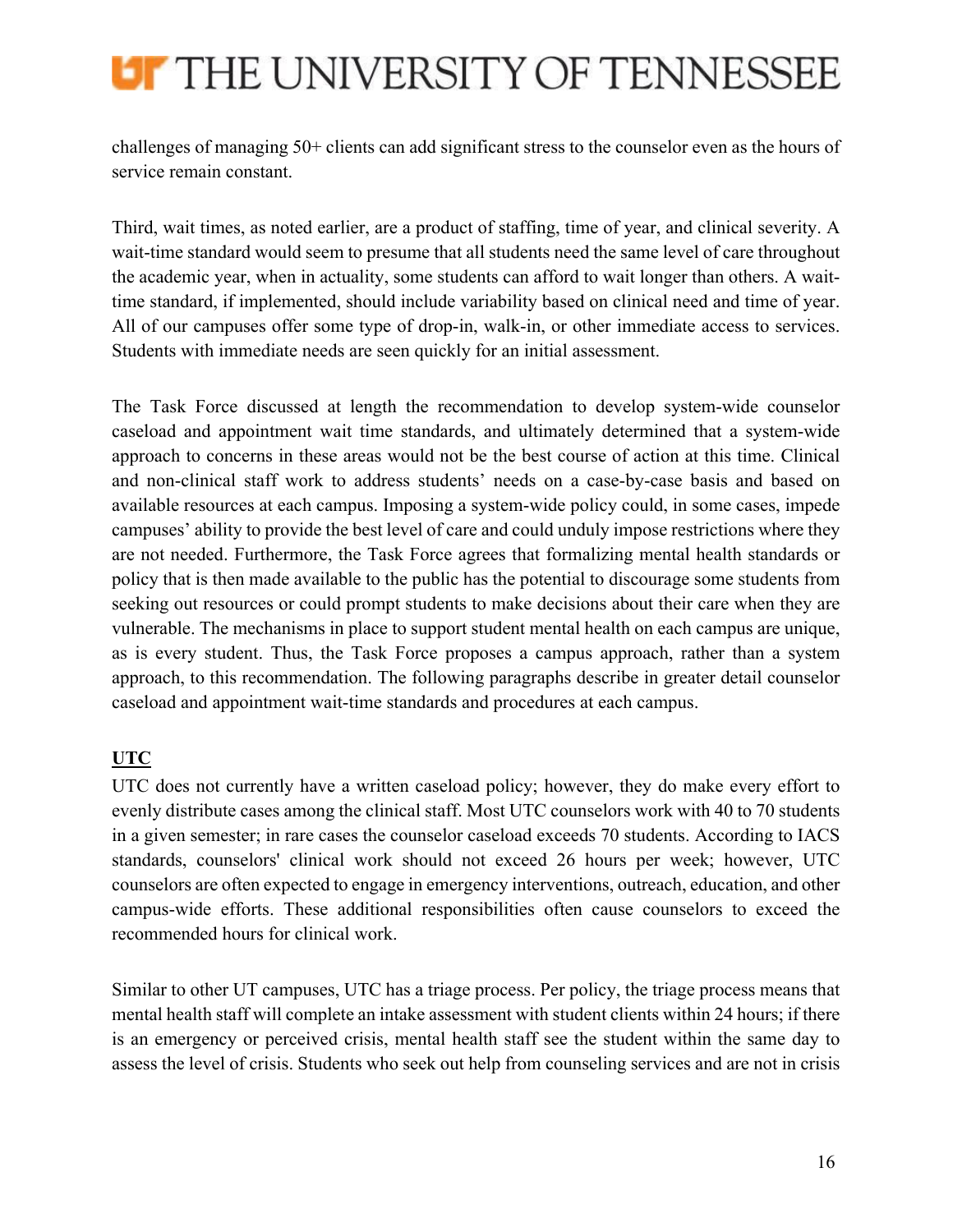# **LIF THE UNIVERSITY OF TENNESSEE**

challenges of managing 50+ clients can add significant stress to the counselor even as the hours of service remain constant.

Third, wait times, as noted earlier, are a product of staffing, time of year, and clinical severity. A wait-time standard would seem to presume that all students need the same level of care throughout the academic year, when in actuality, some students can afford to wait longer than others. A waittime standard, if implemented, should include variability based on clinical need and time of year. All of our campuses offer some type of drop-in, walk-in, or other immediate access to services. Students with immediate needs are seen quickly for an initial assessment.

The Task Force discussed at length the recommendation to develop system-wide counselor caseload and appointment wait time standards, and ultimately determined that a system-wide approach to concerns in these areas would not be the best course of action at this time. Clinical and non-clinical staff work to address students' needs on a case-by-case basis and based on available resources at each campus. Imposing a system-wide policy could, in some cases, impede campuses' ability to provide the best level of care and could unduly impose restrictions where they are not needed. Furthermore, the Task Force agrees that formalizing mental health standards or policy that is then made available to the public has the potential to discourage some students from seeking out resources or could prompt students to make decisions about their care when they are vulnerable. The mechanisms in place to support student mental health on each campus are unique, as is every student. Thus, the Task Force proposes a campus approach, rather than a system approach, to this recommendation. The following paragraphs describe in greater detail counselor caseload and appointment wait-time standards and procedures at each campus.

## **UTC**

UTC does not currently have a written caseload policy; however, they do make every effort to evenly distribute cases among the clinical staff. Most UTC counselors work with 40 to 70 students in a given semester; in rare cases the counselor caseload exceeds 70 students. According to IACS standards, counselors' clinical work should not exceed 26 hours per week; however, UTC counselors are often expected to engage in emergency interventions, outreach, education, and other campus-wide efforts. These additional responsibilities often cause counselors to exceed the recommended hours for clinical work.

Similar to other UT campuses, UTC has a triage process. Per policy, the triage process means that mental health staff will complete an intake assessment with student clients within 24 hours; if there is an emergency or perceived crisis, mental health staff see the student within the same day to assess the level of crisis. Students who seek out help from counseling services and are not in crisis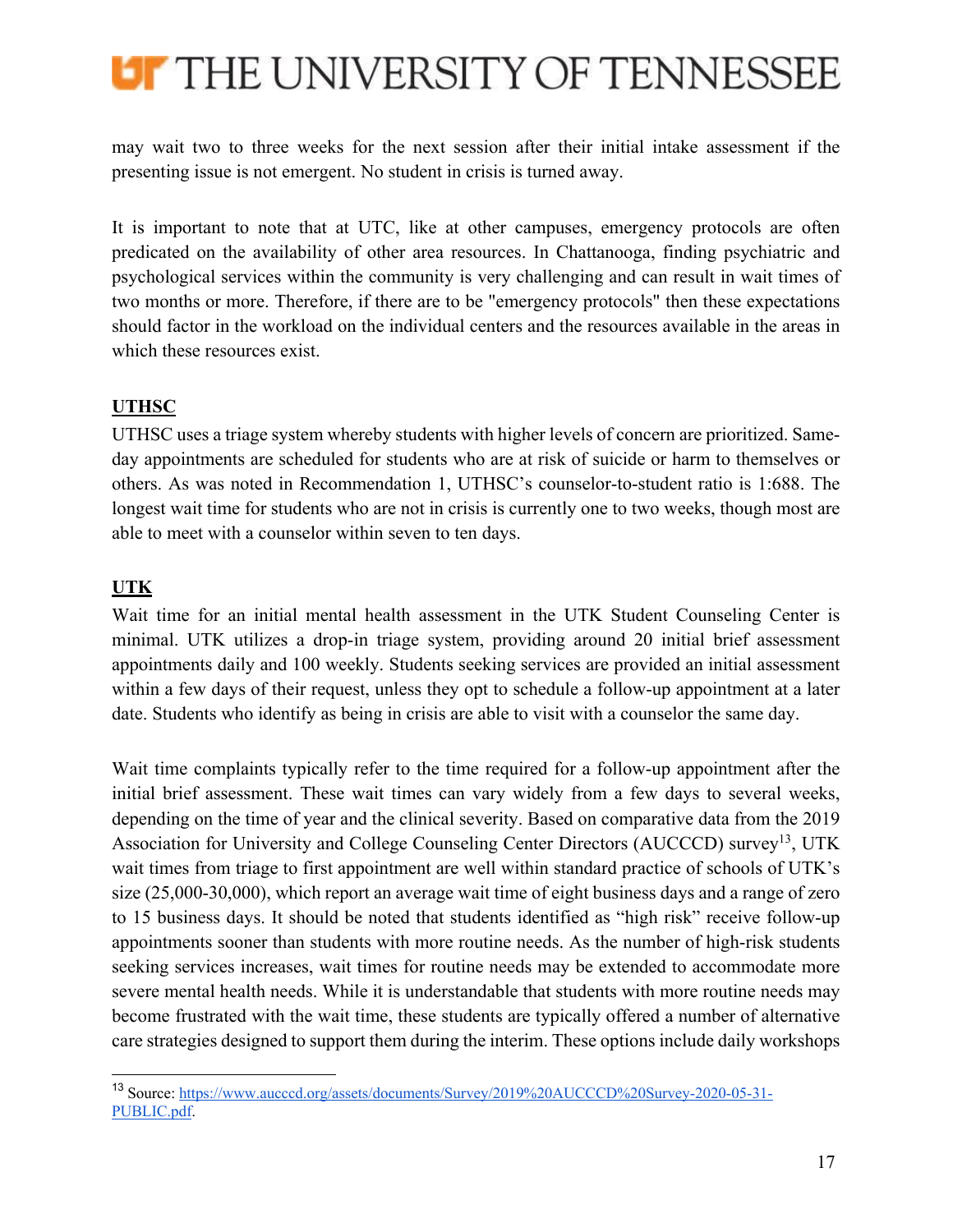

may wait two to three weeks for the next session after their initial intake assessment if the presenting issue is not emergent. No student in crisis is turned away.

It is important to note that at UTC, like at other campuses, emergency protocols are often predicated on the availability of other area resources. In Chattanooga, finding psychiatric and psychological services within the community is very challenging and can result in wait times of two months or more. Therefore, if there are to be "emergency protocols" then these expectations should factor in the workload on the individual centers and the resources available in the areas in which these resources exist.

## **UTHSC**

UTHSC uses a triage system whereby students with higher levels of concern are prioritized. Sameday appointments are scheduled for students who are at risk of suicide or harm to themselves or others. As was noted in Recommendation 1, UTHSC's counselor-to-student ratio is 1:688. The longest wait time for students who are not in crisis is currently one to two weeks, though most are able to meet with a counselor within seven to ten days.

## **UTK**

Wait time for an initial mental health assessment in the UTK Student Counseling Center is minimal. UTK utilizes a drop-in triage system, providing around 20 initial brief assessment appointments daily and 100 weekly. Students seeking services are provided an initial assessment within a few days of their request, unless they opt to schedule a follow-up appointment at a later date. Students who identify as being in crisis are able to visit with a counselor the same day.

Wait time complaints typically refer to the time required for a follow-up appointment after the initial brief assessment. These wait times can vary widely from a few days to several weeks, depending on the time of year and the clinical severity. Based on comparative data from the 2019 Association for University and College Counseling Center Directors (AUCCCD) survey<sup>13</sup>, UTK wait times from triage to first appointment are well within standard practice of schools of UTK's size (25,000-30,000), which report an average wait time of eight business days and a range of zero to 15 business days. It should be noted that students identified as "high risk" receive follow-up appointments sooner than students with more routine needs. As the number of high-risk students seeking services increases, wait times for routine needs may be extended to accommodate more severe mental health needs. While it is understandable that students with more routine needs may become frustrated with the wait time, these students are typically offered a number of alternative care strategies designed to support them during the interim. These options include daily workshops

<sup>13</sup> Source: https://www.aucccd.org/assets/documents/Survey/2019%20AUCCCD%20Survey-2020-05-31- PUBLIC.pdf.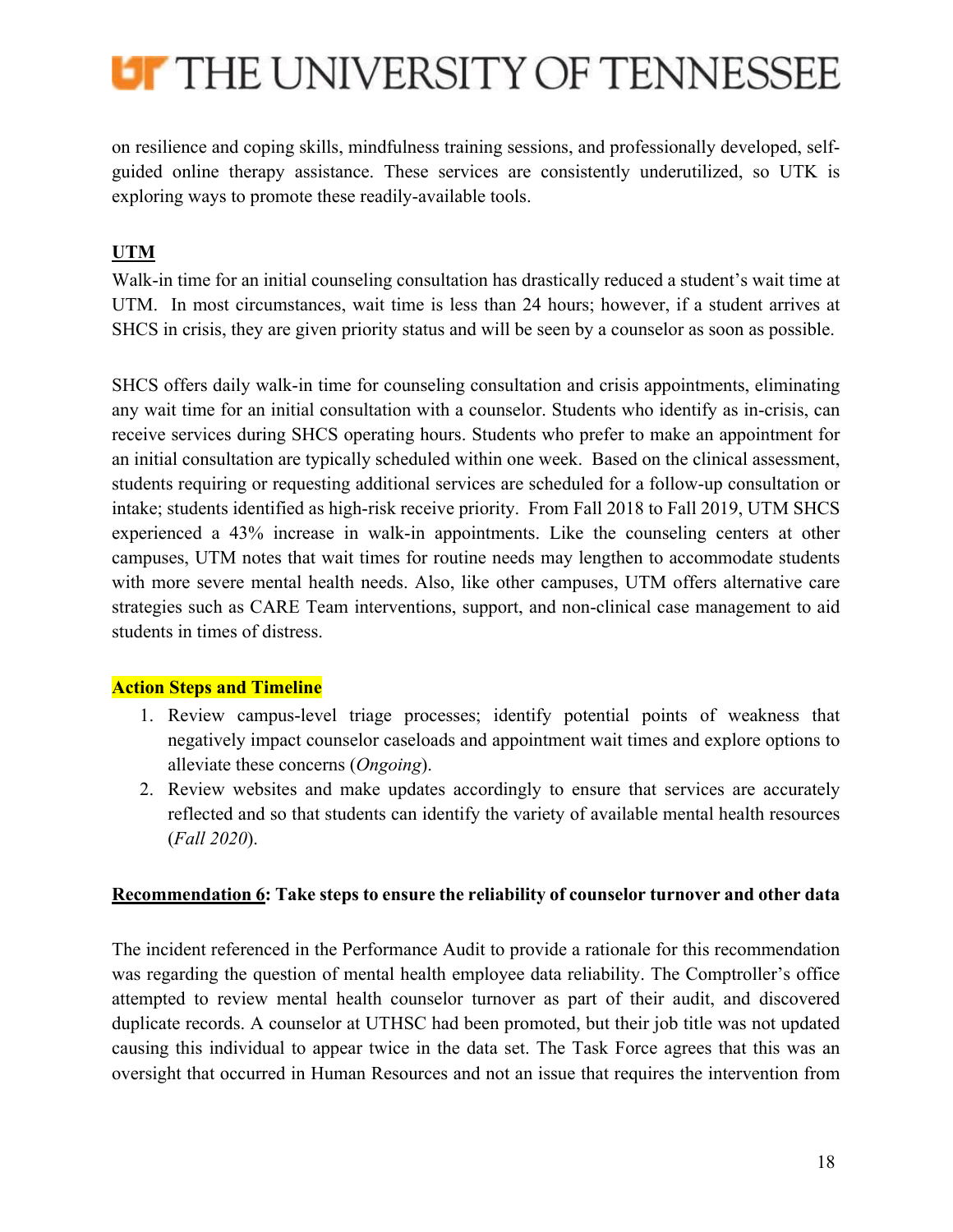

on resilience and coping skills, mindfulness training sessions, and professionally developed, selfguided online therapy assistance. These services are consistently underutilized, so UTK is exploring ways to promote these readily-available tools.

## **UTM**

Walk-in time for an initial counseling consultation has drastically reduced a student's wait time at UTM. In most circumstances, wait time is less than 24 hours; however, if a student arrives at SHCS in crisis, they are given priority status and will be seen by a counselor as soon as possible.

SHCS offers daily walk-in time for counseling consultation and crisis appointments, eliminating any wait time for an initial consultation with a counselor. Students who identify as in-crisis, can receive services during SHCS operating hours. Students who prefer to make an appointment for an initial consultation are typically scheduled within one week. Based on the clinical assessment, students requiring or requesting additional services are scheduled for a follow-up consultation or intake; students identified as high-risk receive priority. From Fall 2018 to Fall 2019, UTM SHCS experienced a 43% increase in walk-in appointments. Like the counseling centers at other campuses, UTM notes that wait times for routine needs may lengthen to accommodate students with more severe mental health needs. Also, like other campuses, UTM offers alternative care strategies such as CARE Team interventions, support, and non-clinical case management to aid students in times of distress.

## **Action Steps and Timeline**

- 1. Review campus-level triage processes; identify potential points of weakness that negatively impact counselor caseloads and appointment wait times and explore options to alleviate these concerns (*Ongoing*).
- 2. Review websites and make updates accordingly to ensure that services are accurately reflected and so that students can identify the variety of available mental health resources (*Fall 2020*).

### **Recommendation 6: Take steps to ensure the reliability of counselor turnover and other data**

The incident referenced in the Performance Audit to provide a rationale for this recommendation was regarding the question of mental health employee data reliability. The Comptroller's office attempted to review mental health counselor turnover as part of their audit, and discovered duplicate records. A counselor at UTHSC had been promoted, but their job title was not updated causing this individual to appear twice in the data set. The Task Force agrees that this was an oversight that occurred in Human Resources and not an issue that requires the intervention from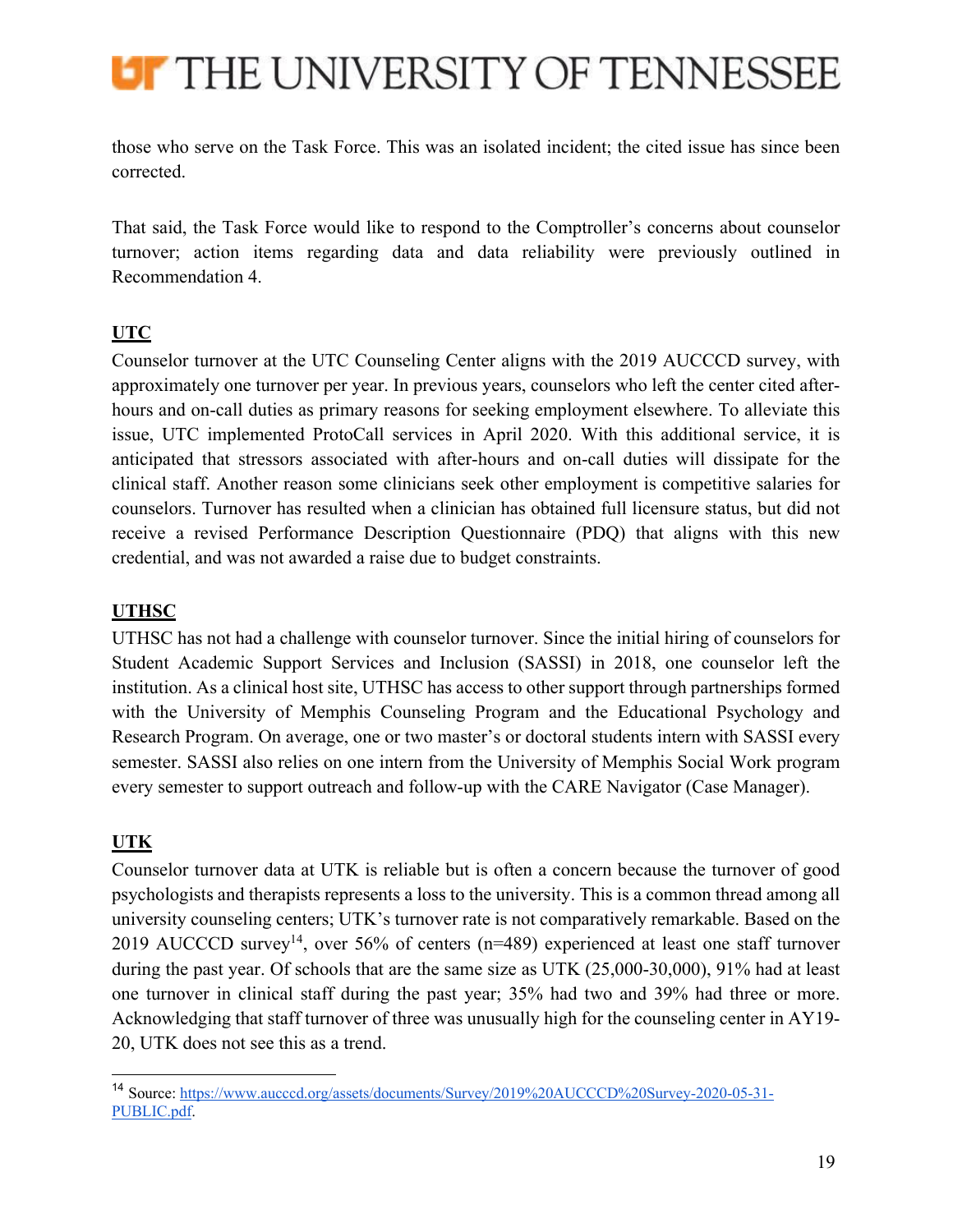

those who serve on the Task Force. This was an isolated incident; the cited issue has since been corrected.

That said, the Task Force would like to respond to the Comptroller's concerns about counselor turnover; action items regarding data and data reliability were previously outlined in Recommendation 4.

## **UTC**

Counselor turnover at the UTC Counseling Center aligns with the 2019 AUCCCD survey, with approximately one turnover per year. In previous years, counselors who left the center cited afterhours and on-call duties as primary reasons for seeking employment elsewhere. To alleviate this issue, UTC implemented ProtoCall services in April 2020. With this additional service, it is anticipated that stressors associated with after-hours and on-call duties will dissipate for the clinical staff. Another reason some clinicians seek other employment is competitive salaries for counselors. Turnover has resulted when a clinician has obtained full licensure status, but did not receive a revised Performance Description Questionnaire (PDQ) that aligns with this new credential, and was not awarded a raise due to budget constraints.

## **UTHSC**

UTHSC has not had a challenge with counselor turnover. Since the initial hiring of counselors for Student Academic Support Services and Inclusion (SASSI) in 2018, one counselor left the institution. As a clinical host site, UTHSC has access to other support through partnerships formed with the University of Memphis Counseling Program and the Educational Psychology and Research Program. On average, one or two master's or doctoral students intern with SASSI every semester. SASSI also relies on one intern from the University of Memphis Social Work program every semester to support outreach and follow-up with the CARE Navigator (Case Manager).

## **UTK**

Counselor turnover data at UTK is reliable but is often a concern because the turnover of good psychologists and therapists represents a loss to the university. This is a common thread among all university counseling centers; UTK's turnover rate is not comparatively remarkable. Based on the 2019 AUCCCD survey<sup>14</sup>, over 56% of centers ( $n=489$ ) experienced at least one staff turnover during the past year. Of schools that are the same size as UTK (25,000-30,000), 91% had at least one turnover in clinical staff during the past year; 35% had two and 39% had three or more. Acknowledging that staff turnover of three was unusually high for the counseling center in AY19- 20, UTK does not see this as a trend.

<sup>14</sup> Source: https://www.aucccd.org/assets/documents/Survey/2019%20AUCCCD%20Survey-2020-05-31- PUBLIC.pdf.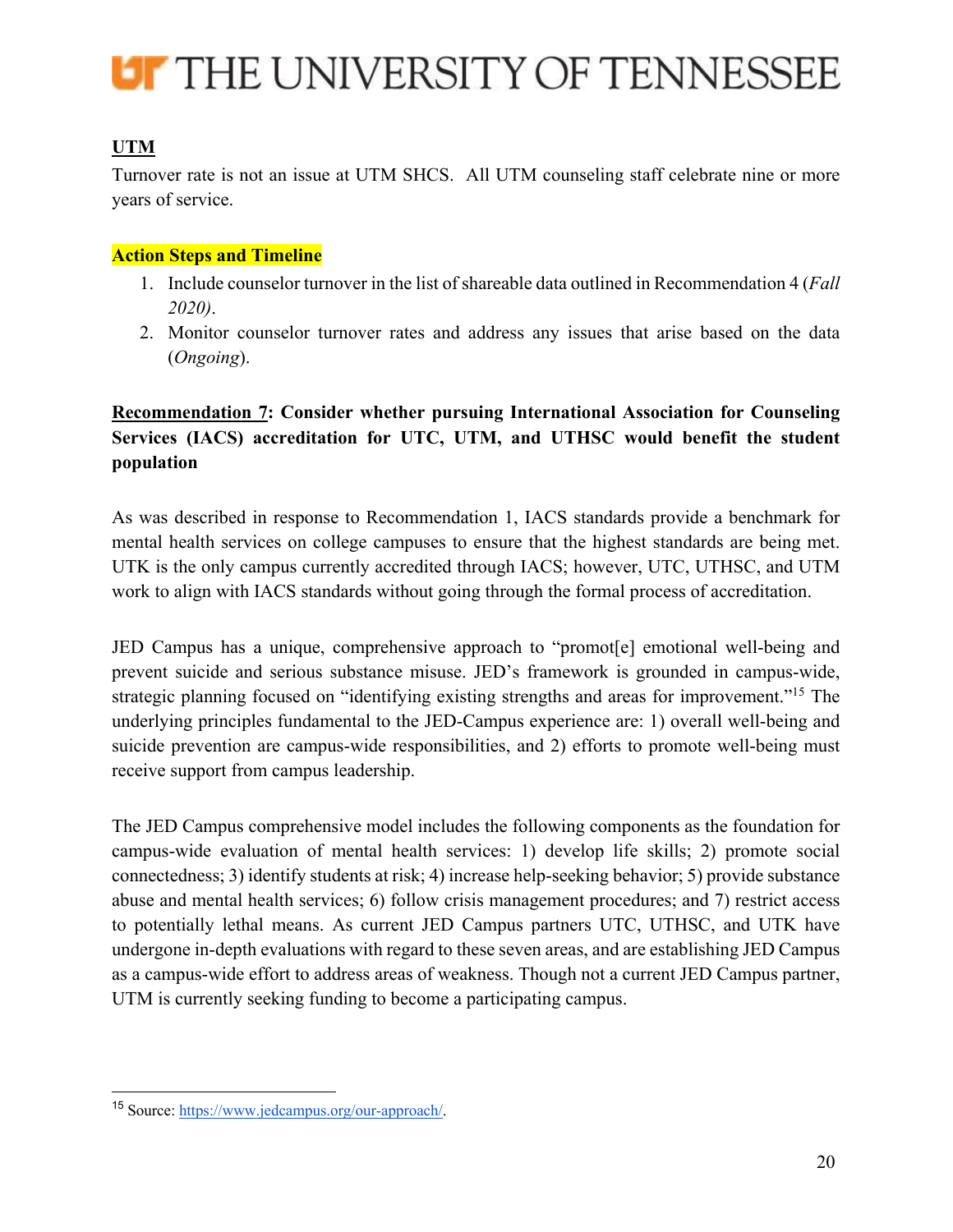

## **UTM**

Turnover rate is not an issue at UTM SHCS. All UTM counseling staff celebrate nine or more years of service.

## **Action Steps and Timeline**

- 1. Include counselor turnover in the list of shareable data outlined in Recommendation 4 (*Fall 2020)*.
- 2. Monitor counselor turnover rates and address any issues that arise based on the data (*Ongoing*).

## **Recommendation 7: Consider whether pursuing International Association for Counseling Services (IACS) accreditation for UTC, UTM, and UTHSC would benefit the student population**

As was described in response to Recommendation 1, IACS standards provide a benchmark for mental health services on college campuses to ensure that the highest standards are being met. UTK is the only campus currently accredited through IACS; however, UTC, UTHSC, and UTM work to align with IACS standards without going through the formal process of accreditation.

JED Campus has a unique, comprehensive approach to "promot[e] emotional well-being and prevent suicide and serious substance misuse. JED's framework is grounded in campus-wide, strategic planning focused on "identifying existing strengths and areas for improvement."15 The underlying principles fundamental to the JED-Campus experience are: 1) overall well-being and suicide prevention are campus-wide responsibilities, and 2) efforts to promote well-being must receive support from campus leadership.

The JED Campus comprehensive model includes the following components as the foundation for campus-wide evaluation of mental health services: 1) develop life skills; 2) promote social connectedness; 3) identify students at risk; 4) increase help-seeking behavior; 5) provide substance abuse and mental health services; 6) follow crisis management procedures; and 7) restrict access to potentially lethal means. As current JED Campus partners UTC, UTHSC, and UTK have undergone in-depth evaluations with regard to these seven areas, and are establishing JED Campus as a campus-wide effort to address areas of weakness. Though not a current JED Campus partner, UTM is currently seeking funding to become a participating campus.

<sup>15</sup> Source: https://www.jedcampus.org/our-approach/.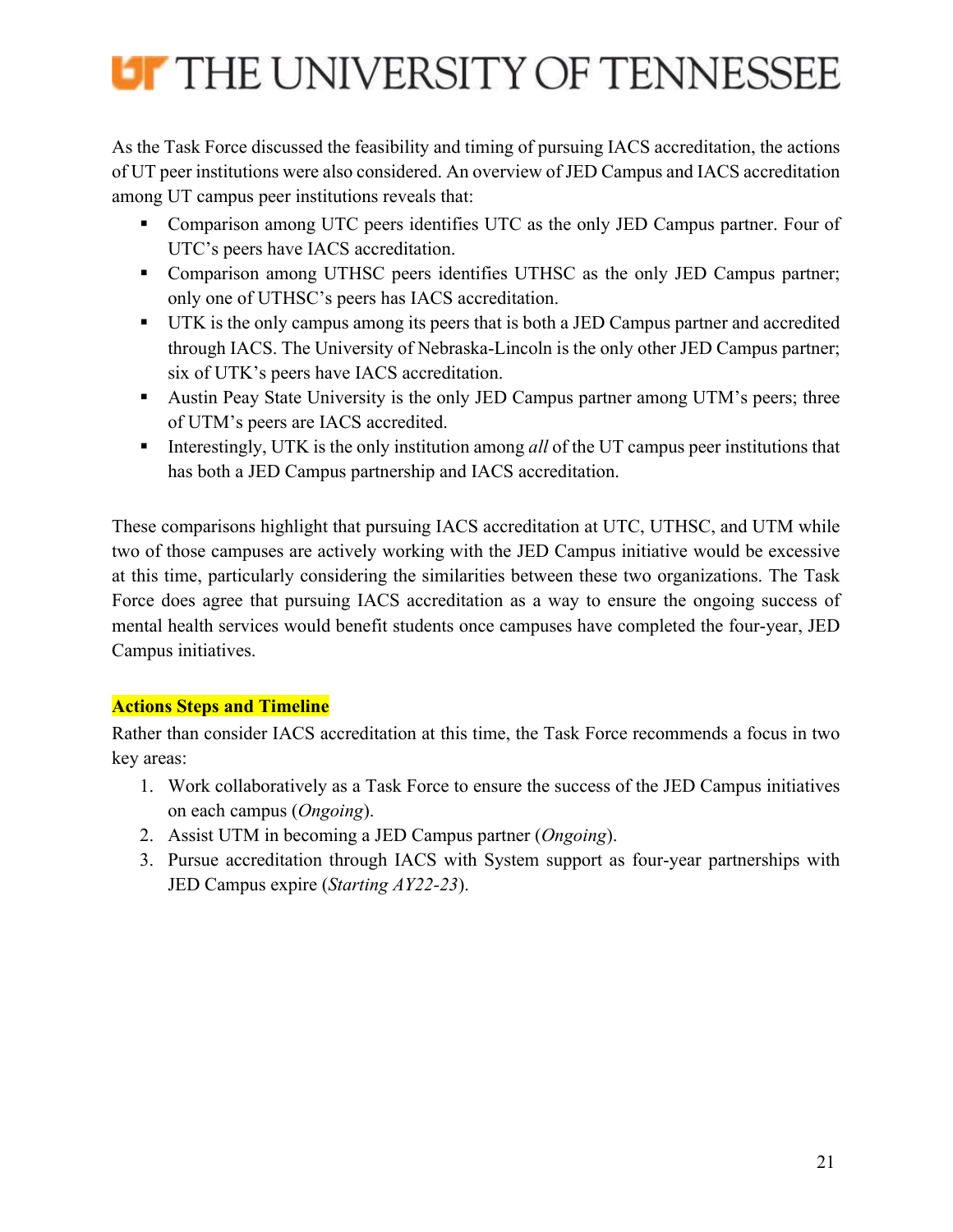

As the Task Force discussed the feasibility and timing of pursuing IACS accreditation, the actions of UT peer institutions were also considered. An overview of JED Campus and IACS accreditation among UT campus peer institutions reveals that:

- Comparison among UTC peers identifies UTC as the only JED Campus partner. Four of UTC's peers have IACS accreditation.
- Comparison among UTHSC peers identifies UTHSC as the only JED Campus partner; only one of UTHSC's peers has IACS accreditation.
- § UTK is the only campus among its peers that is both a JED Campus partner and accredited through IACS. The University of Nebraska-Lincoln is the only other JED Campus partner; six of UTK's peers have IACS accreditation.
- Austin Peay State University is the only JED Campus partner among UTM's peers; three of UTM's peers are IACS accredited.
- Interestingly, UTK is the only institution among *all* of the UT campus peer institutions that has both a JED Campus partnership and IACS accreditation.

These comparisons highlight that pursuing IACS accreditation at UTC, UTHSC, and UTM while two of those campuses are actively working with the JED Campus initiative would be excessive at this time, particularly considering the similarities between these two organizations. The Task Force does agree that pursuing IACS accreditation as a way to ensure the ongoing success of mental health services would benefit students once campuses have completed the four-year, JED Campus initiatives.

## **Actions Steps and Timeline**

Rather than consider IACS accreditation at this time, the Task Force recommends a focus in two key areas:

- 1. Work collaboratively as a Task Force to ensure the success of the JED Campus initiatives on each campus (*Ongoing*).
- 2. Assist UTM in becoming a JED Campus partner (*Ongoing*).
- 3. Pursue accreditation through IACS with System support as four-year partnerships with JED Campus expire (*Starting AY22-23*).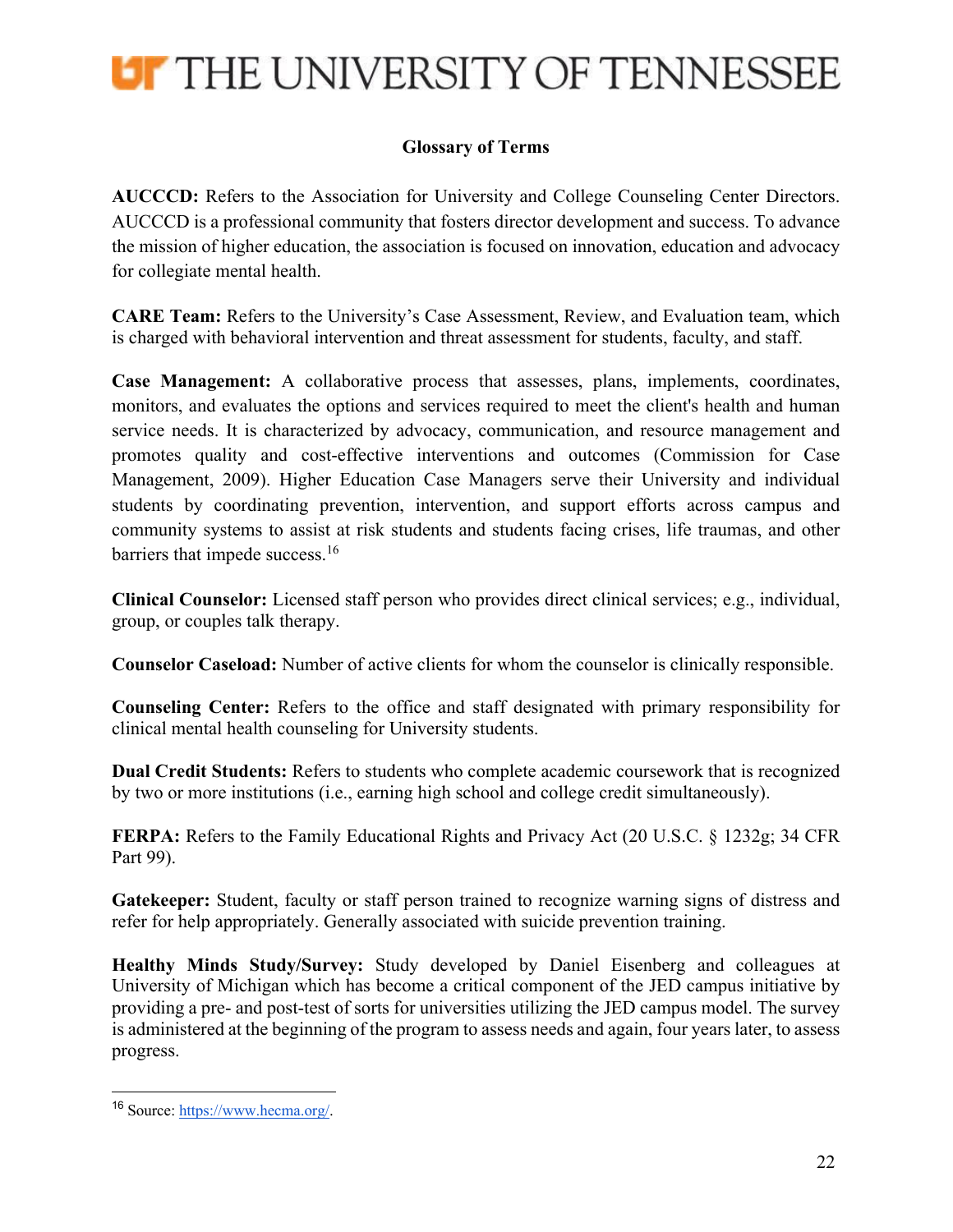

## **Glossary of Terms**

**AUCCCD:** Refers to the Association for University and College Counseling Center Directors. AUCCCD is a professional community that fosters director development and success. To advance the mission of higher education, the association is focused on innovation, education and advocacy for collegiate mental health.

**CARE Team:** Refers to the University's Case Assessment, Review, and Evaluation team, which is charged with behavioral intervention and threat assessment for students, faculty, and staff.

**Case Management:** A collaborative process that assesses, plans, implements, coordinates, monitors, and evaluates the options and services required to meet the client's health and human service needs. It is characterized by advocacy, communication, and resource management and promotes quality and cost-effective interventions and outcomes (Commission for Case Management, 2009). Higher Education Case Managers serve their University and individual students by coordinating prevention, intervention, and support efforts across campus and community systems to assist at risk students and students facing crises, life traumas, and other barriers that impede success.<sup>16</sup>

**Clinical Counselor:** Licensed staff person who provides direct clinical services; e.g., individual, group, or couples talk therapy.

**Counselor Caseload:** Number of active clients for whom the counselor is clinically responsible.

**Counseling Center:** Refers to the office and staff designated with primary responsibility for clinical mental health counseling for University students.

**Dual Credit Students:** Refers to students who complete academic coursework that is recognized by two or more institutions (i.e., earning high school and college credit simultaneously).

**FERPA:** Refers to the Family Educational Rights and Privacy Act (20 U.S.C. § 1232g; 34 CFR Part 99).

**Gatekeeper:** Student, faculty or staff person trained to recognize warning signs of distress and refer for help appropriately. Generally associated with suicide prevention training.

**Healthy Minds Study/Survey:** Study developed by Daniel Eisenberg and colleagues at University of Michigan which has become a critical component of the JED campus initiative by providing a pre- and post-test of sorts for universities utilizing the JED campus model. The survey is administered at the beginning of the program to assess needs and again, four years later, to assess progress.

<sup>16</sup> Source: https://www.hecma.org/.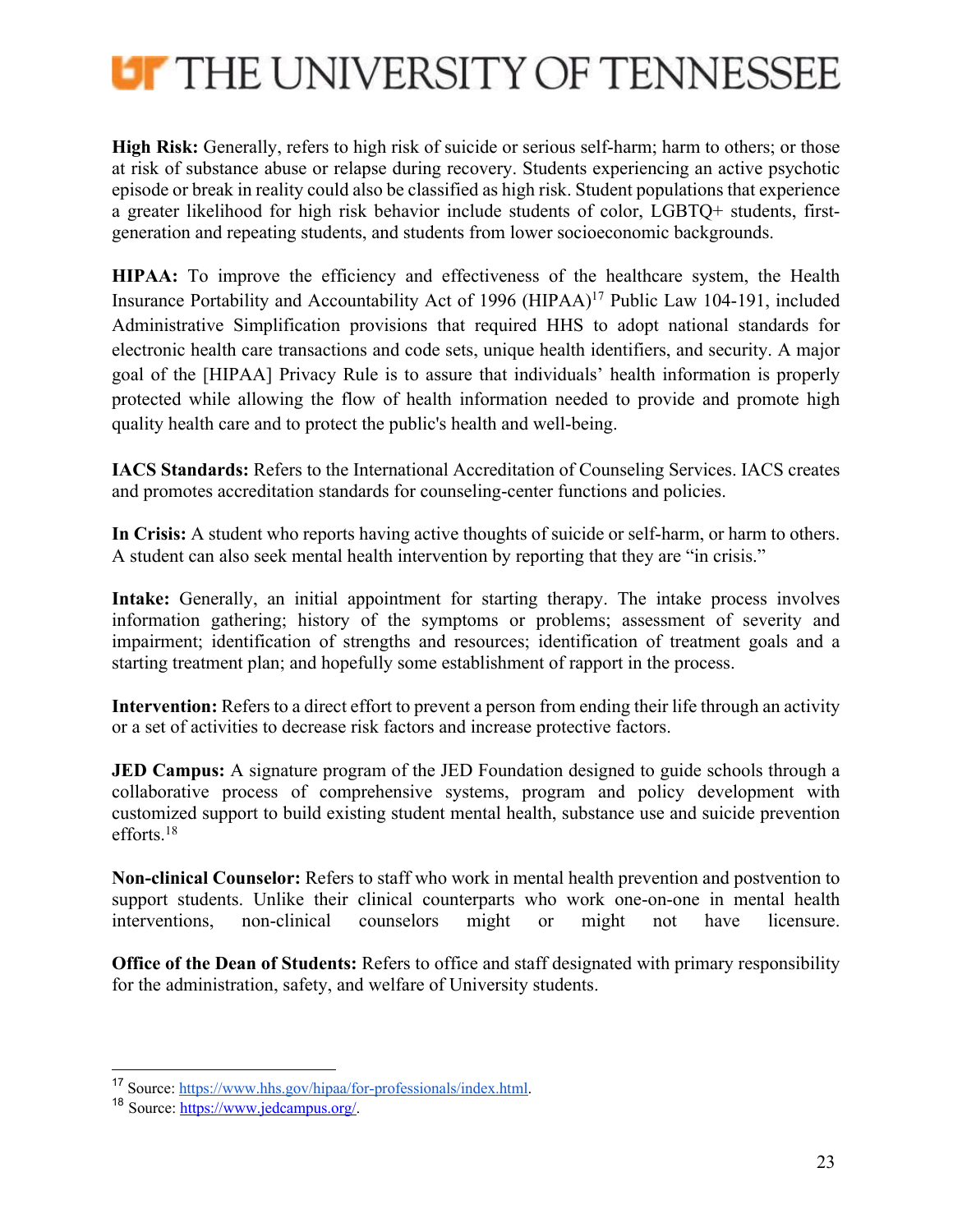

**High Risk:** Generally, refers to high risk of suicide or serious self-harm; harm to others; or those at risk of substance abuse or relapse during recovery. Students experiencing an active psychotic episode or break in reality could also be classified as high risk. Student populations that experience a greater likelihood for high risk behavior include students of color, LGBTQ+ students, firstgeneration and repeating students, and students from lower socioeconomic backgrounds.

**HIPAA:** To improve the efficiency and effectiveness of the healthcare system, the Health Insurance Portability and Accountability Act of 1996 (HIPAA)17 Public Law 104-191, included Administrative Simplification provisions that required HHS to adopt national standards for electronic health care transactions and code sets, unique health identifiers, and security. A major goal of the [HIPAA] Privacy Rule is to assure that individuals' health information is properly protected while allowing the flow of health information needed to provide and promote high quality health care and to protect the public's health and well-being.

**IACS Standards:** Refers to the International Accreditation of Counseling Services. IACS creates and promotes accreditation standards for counseling-center functions and policies.

**In Crisis:** A student who reports having active thoughts of suicide or self-harm, or harm to others. A student can also seek mental health intervention by reporting that they are "in crisis."

**Intake:** Generally, an initial appointment for starting therapy. The intake process involves information gathering; history of the symptoms or problems; assessment of severity and impairment; identification of strengths and resources; identification of treatment goals and a starting treatment plan; and hopefully some establishment of rapport in the process.

**Intervention:** Refers to a direct effort to prevent a person from ending their life through an activity or a set of activities to decrease risk factors and increase protective factors.

**JED Campus:** A signature program of the JED Foundation designed to guide schools through a collaborative process of comprehensive systems, program and policy development with customized support to build existing student mental health, substance use and suicide prevention efforts.18

**Non-clinical Counselor:** Refers to staff who work in mental health prevention and postvention to support students. Unlike their clinical counterparts who work one-on-one in mental health interventions, non-clinical counselors might or might not have licensure.

**Office of the Dean of Students:** Refers to office and staff designated with primary responsibility for the administration, safety, and welfare of University students.

<sup>17</sup> Source: https://www.hhs.gov/hipaa/for-professionals/index.html.

<sup>18</sup> Source: https://www.jedcampus.org/.